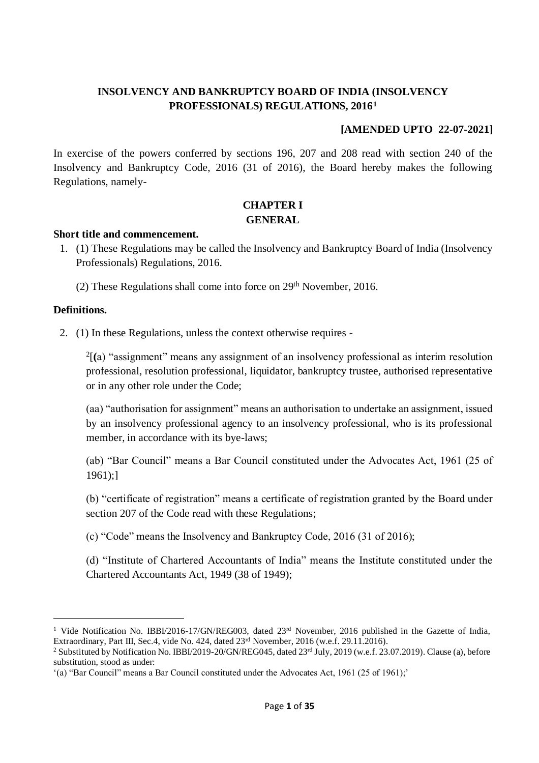## **INSOLVENCY AND BANKRUPTCY BOARD OF INDIA (INSOLVENCY PROFESSIONALS) REGULATIONS, 2016<sup>1</sup>**

#### **[AMENDED UPTO 22-07-2021]**

In exercise of the powers conferred by sections 196, 207 and 208 read with section 240 of the Insolvency and Bankruptcy Code, 2016 (31 of 2016), the Board hereby makes the following Regulations, namely-

### **CHAPTER I GENERAL**

#### **Short title and commencement.**

- 1. (1) These Regulations may be called the Insolvency and Bankruptcy Board of India (Insolvency Professionals) Regulations, 2016.
	- (2) These Regulations shall come into force on  $29<sup>th</sup>$  November, 2016.

#### **Definitions.**

2. (1) In these Regulations, unless the context otherwise requires -

2 [**(**a) "assignment" means any assignment of an insolvency professional as interim resolution professional, resolution professional, liquidator, bankruptcy trustee, authorised representative or in any other role under the Code;

(aa) "authorisation for assignment" means an authorisation to undertake an assignment, issued by an insolvency professional agency to an insolvency professional, who is its professional member, in accordance with its bye-laws;

(ab) "Bar Council" means a Bar Council constituted under the Advocates Act, 1961 (25 of 1961);]

(b) "certificate of registration" means a certificate of registration granted by the Board under section 207 of the Code read with these Regulations;

(c) "Code" means the Insolvency and Bankruptcy Code, 2016 (31 of 2016);

(d) "Institute of Chartered Accountants of India" means the Institute constituted under the Chartered Accountants Act, 1949 (38 of 1949);

<sup>&</sup>lt;sup>1</sup> Vide Notification No. IBBI/2016-17/GN/REG003, dated 23<sup>rd</sup> November, 2016 published in the Gazette of India, Extraordinary, Part III, Sec.4, vide No. 424, dated 23rd November, 2016 (w.e.f. 29.11.2016).

<sup>&</sup>lt;sup>2</sup> Substituted by Notification No. IBBI/2019-20/GN/REG045, dated  $23<sup>rd</sup>$  July, 2019 (w.e.f. 23.07.2019). Clause (a), before substitution, stood as under:

<sup>&#</sup>x27;(a) "Bar Council" means a Bar Council constituted under the Advocates Act, 1961 (25 of 1961);'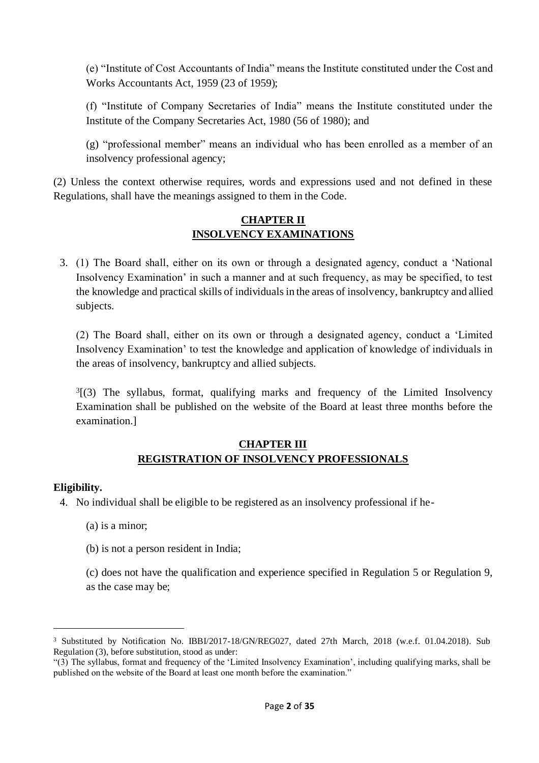(e) "Institute of Cost Accountants of India" means the Institute constituted under the Cost and Works Accountants Act, 1959 (23 of 1959);

(f) "Institute of Company Secretaries of India" means the Institute constituted under the Institute of the Company Secretaries Act, 1980 (56 of 1980); and

(g) "professional member" means an individual who has been enrolled as a member of an insolvency professional agency;

(2) Unless the context otherwise requires, words and expressions used and not defined in these Regulations, shall have the meanings assigned to them in the Code.

## **CHAPTER II INSOLVENCY EXAMINATIONS**

3. (1) The Board shall, either on its own or through a designated agency, conduct a 'National Insolvency Examination' in such a manner and at such frequency, as may be specified, to test the knowledge and practical skills of individuals in the areas of insolvency, bankruptcy and allied subjects.

(2) The Board shall, either on its own or through a designated agency, conduct a 'Limited Insolvency Examination' to test the knowledge and application of knowledge of individuals in the areas of insolvency, bankruptcy and allied subjects.

 $3(3)$  The syllabus, format, qualifying marks and frequency of the Limited Insolvency Examination shall be published on the website of the Board at least three months before the examination.]

#### **CHAPTER III REGISTRATION OF INSOLVENCY PROFESSIONALS**

#### **Eligibility.**

- 4. No individual shall be eligible to be registered as an insolvency professional if he-
	- (a) is a minor;
	- (b) is not a person resident in India;

(c) does not have the qualification and experience specified in Regulation 5 or Regulation 9, as the case may be;

<sup>3</sup> Substituted by Notification No. IBBI/2017-18/GN/REG027, dated 27th March, 2018 (w.e.f. 01.04.2018). Sub Regulation (3), before substitution, stood as under:

<sup>&</sup>quot;(3) The syllabus, format and frequency of the 'Limited Insolvency Examination', including qualifying marks, shall be published on the website of the Board at least one month before the examination."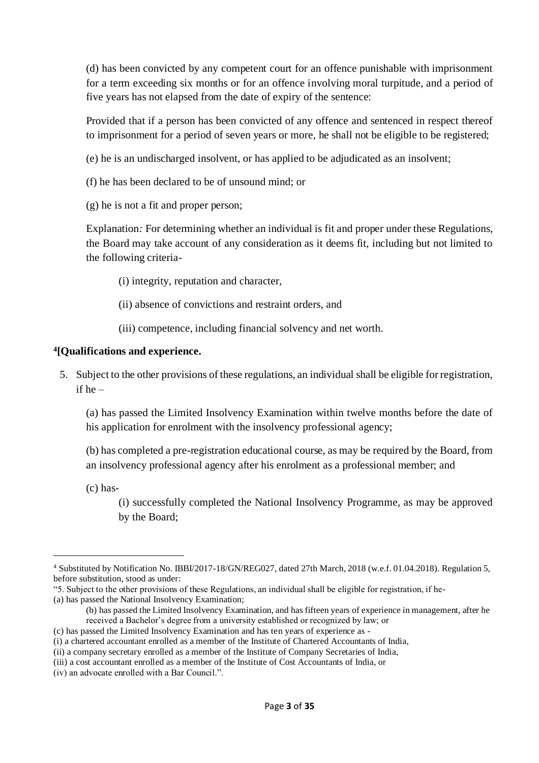(d) has been convicted by any competent court for an offence punishable with imprisonment for a term exceeding six months or for an offence involving moral turpitude, and a period of five years has not elapsed from the date of expiry of the sentence:

Provided that if a person has been convicted of any offence and sentenced in respect thereof to imprisonment for a period of seven years or more, he shall not be eligible to be registered;

(e) he is an undischarged insolvent, or has applied to be adjudicated as an insolvent;

- (f) he has been declared to be of unsound mind; or
- (g) he is not a fit and proper person;

Explanation*:* For determining whether an individual is fit and proper under these Regulations, the Board may take account of any consideration as it deems fit, including but not limited to the following criteria-

- (i) integrity, reputation and character,
- (ii) absence of convictions and restraint orders, and
- (iii) competence, including financial solvency and net worth.

#### **4 [Qualifications and experience.**

5. Subject to the other provisions of these regulations, an individual shall be eligible for registration, if he –

(a) has passed the Limited Insolvency Examination within twelve months before the date of his application for enrolment with the insolvency professional agency;

(b) has completed a pre-registration educational course, as may be required by the Board, from an insolvency professional agency after his enrolment as a professional member; and

(c) has-

(i) successfully completed the National Insolvency Programme, as may be approved by the Board;

(a) has passed the National Insolvency Examination;

- (b) has passed the Limited Insolvency Examination, and has fifteen years of experience in management, after he received a Bachelor's degree from a university established or recognized by law; or
- (c) has passed the Limited Insolvency Examination and has ten years of experience as -

<sup>4</sup> Substituted by Notification No. IBBI/2017-18/GN/REG027, dated 27th March, 2018 (w.e.f. 01.04.2018). Regulation 5, before substitution, stood as under:

<sup>&</sup>quot;5. Subject to the other provisions of these Regulations, an individual shall be eligible for registration, if he-

<sup>(</sup>i) a chartered accountant enrolled as a member of the Institute of Chartered Accountants of India,

<sup>(</sup>ii) a company secretary enrolled as a member of the Institute of Company Secretaries of India,

<sup>(</sup>iii) a cost accountant enrolled as a member of the Institute of Cost Accountants of India, or

<sup>(</sup>iv) an advocate enrolled with a Bar Council.".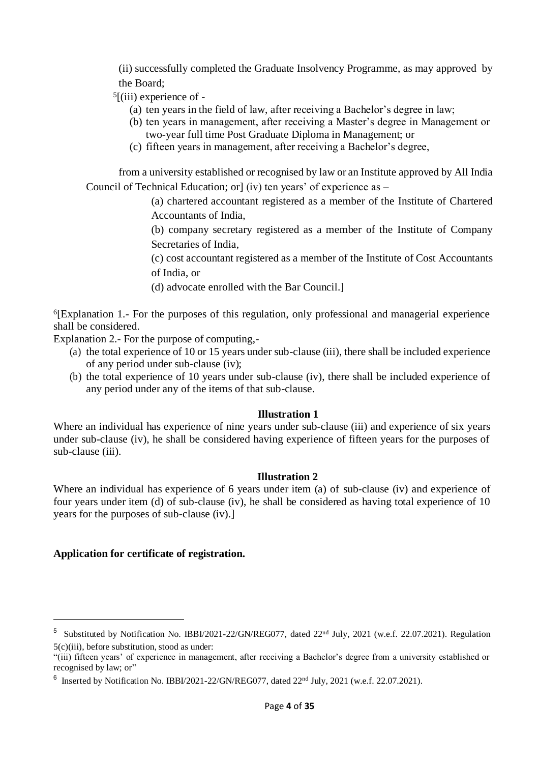(ii) successfully completed the Graduate Insolvency Programme, as may approved by the Board;

- 5 [(iii) experience of
	- (a) ten years in the field of law, after receiving a Bachelor's degree in law;
	- (b) ten years in management, after receiving a Master's degree in Management or two-year full time Post Graduate Diploma in Management; or
	- (c) fifteen years in management, after receiving a Bachelor's degree,

from a university established or recognised by law or an Institute approved by All India Council of Technical Education; or] (iv) ten years' of experience as –

> (a) chartered accountant registered as a member of the Institute of Chartered Accountants of India,

> (b) company secretary registered as a member of the Institute of Company Secretaries of India,

> (c) cost accountant registered as a member of the Institute of Cost Accountants of India, or

(d) advocate enrolled with the Bar Council.]

6 [Explanation 1.- For the purposes of this regulation, only professional and managerial experience shall be considered.

Explanation 2.- For the purpose of computing,-

- (a) the total experience of 10 or 15 years under sub-clause (iii), there shall be included experience of any period under sub-clause (iv);
- (b) the total experience of 10 years under sub-clause (iv), there shall be included experience of any period under any of the items of that sub-clause.

#### **Illustration 1**

Where an individual has experience of nine years under sub-clause (iii) and experience of six years under sub-clause (iv), he shall be considered having experience of fifteen years for the purposes of sub-clause (iii).

#### **Illustration 2**

Where an individual has experience of 6 years under item (a) of sub-clause (iv) and experience of four years under item (d) of sub-clause (iv), he shall be considered as having total experience of 10 years for the purposes of sub-clause (iv).]

#### **Application for certificate of registration.**

<sup>&</sup>lt;sup>5</sup> Substituted by Notification No. IBBI/2021-22/GN/REG077, dated  $22<sup>nd</sup>$  July, 2021 (w.e.f. 22.07.2021). Regulation 5(c)(iii), before substitution, stood as under:

<sup>&</sup>quot;(iii) fifteen years' of experience in management, after receiving a Bachelor's degree from a university established or recognised by law; or"

 $6$  Inserted by Notification No. IBBI/2021-22/GN/REG077, dated  $22<sup>nd</sup>$  July, 2021 (w.e.f. 22.07.2021).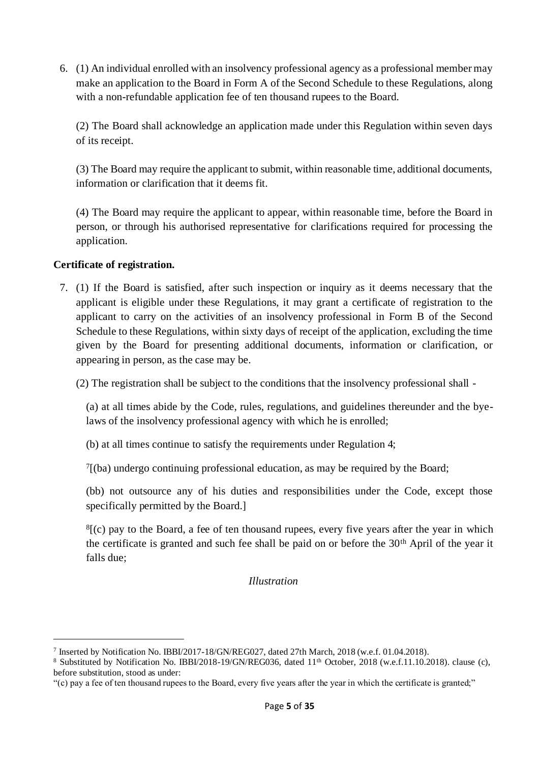6. (1) An individual enrolled with an insolvency professional agency as a professional member may make an application to the Board in Form A of the Second Schedule to these Regulations, along with a non-refundable application fee of ten thousand rupees to the Board.

(2) The Board shall acknowledge an application made under this Regulation within seven days of its receipt.

(3) The Board may require the applicant to submit, within reasonable time, additional documents, information or clarification that it deems fit.

(4) The Board may require the applicant to appear, within reasonable time, before the Board in person, or through his authorised representative for clarifications required for processing the application.

### **Certificate of registration.**

7. (1) If the Board is satisfied, after such inspection or inquiry as it deems necessary that the applicant is eligible under these Regulations, it may grant a certificate of registration to the applicant to carry on the activities of an insolvency professional in Form B of the Second Schedule to these Regulations, within sixty days of receipt of the application, excluding the time given by the Board for presenting additional documents, information or clarification, or appearing in person, as the case may be.

(2) The registration shall be subject to the conditions that the insolvency professional shall -

(a) at all times abide by the Code, rules, regulations, and guidelines thereunder and the byelaws of the insolvency professional agency with which he is enrolled;

(b) at all times continue to satisfy the requirements under Regulation 4;

7 [(ba) undergo continuing professional education, as may be required by the Board;

(bb) not outsource any of his duties and responsibilities under the Code, except those specifically permitted by the Board.]

 $<sup>8</sup>$ [(c) pay to the Board, a fee of ten thousand rupees, every five years after the year in which</sup> the certificate is granted and such fee shall be paid on or before the 30<sup>th</sup> April of the year it falls due;

*Illustration*

<sup>7</sup> Inserted by Notification No. IBBI/2017-18/GN/REG027, dated 27th March, 2018 (w.e.f. 01.04.2018).

<sup>&</sup>lt;sup>8</sup> Substituted by Notification No. IBBI/2018-19/GN/REG036, dated 11<sup>th</sup> October, 2018 (w.e.f.11.10.2018). clause (c), before substitution, stood as under:

<sup>&</sup>quot;(c) pay a fee of ten thousand rupees to the Board, every five years after the year in which the certificate is granted;"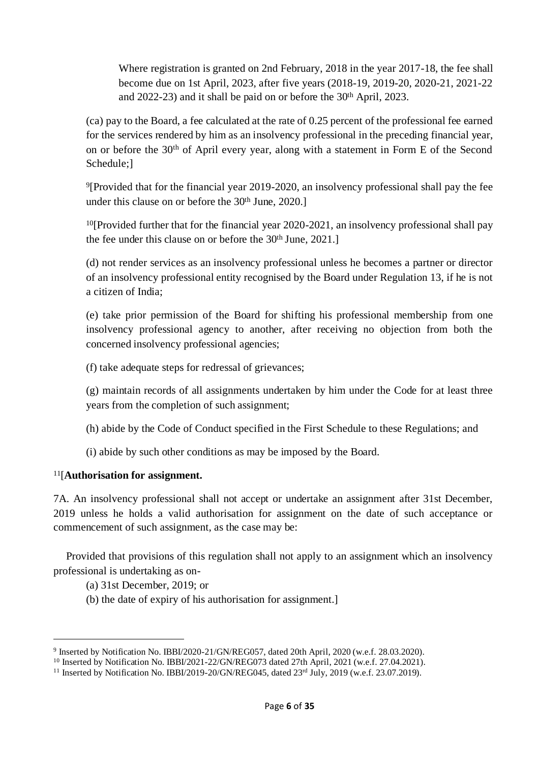Where registration is granted on 2nd February, 2018 in the year 2017-18, the fee shall become due on 1st April, 2023, after five years (2018-19, 2019-20, 2020-21, 2021-22 and 2022-23) and it shall be paid on or before the 30th April, 2023.

(ca) pay to the Board, a fee calculated at the rate of 0.25 percent of the professional fee earned for the services rendered by him as an insolvency professional in the preceding financial year, on or before the 30th of April every year, along with a statement in Form E of the Second Schedule;]

<sup>9</sup>[Provided that for the financial year 2019-2020, an insolvency professional shall pay the fee under this clause on or before the 30<sup>th</sup> June, 2020.]

 $10$ [Provided further that for the financial year 2020-2021, an insolvency professional shall pay the fee under this clause on or before the 30<sup>th</sup> June, 2021.]

(d) not render services as an insolvency professional unless he becomes a partner or director of an insolvency professional entity recognised by the Board under Regulation 13, if he is not a citizen of India;

(e) take prior permission of the Board for shifting his professional membership from one insolvency professional agency to another, after receiving no objection from both the concerned insolvency professional agencies;

(f) take adequate steps for redressal of grievances;

(g) maintain records of all assignments undertaken by him under the Code for at least three years from the completion of such assignment;

(h) abide by the Code of Conduct specified in the First Schedule to these Regulations; and

(i) abide by such other conditions as may be imposed by the Board.

### <sup>11</sup>[**Authorisation for assignment.**

7A. An insolvency professional shall not accept or undertake an assignment after 31st December, 2019 unless he holds a valid authorisation for assignment on the date of such acceptance or commencement of such assignment, as the case may be:

Provided that provisions of this regulation shall not apply to an assignment which an insolvency professional is undertaking as on-

(a) 31st December, 2019; or

(b) the date of expiry of his authorisation for assignment.]

<sup>9</sup> Inserted by Notification No. IBBI/2020-21/GN/REG057, dated 20th April, 2020 (w.e.f. 28.03.2020).

<sup>&</sup>lt;sup>10</sup> Inserted by Notification No. IBBI/2021-22/GN/REG073 dated 27th April, 2021 (w.e.f. 27.04.2021).

<sup>&</sup>lt;sup>11</sup> Inserted by Notification No. IBBI/2019-20/GN/REG045, dated 23<sup>rd</sup> July, 2019 (w.e.f. 23.07.2019).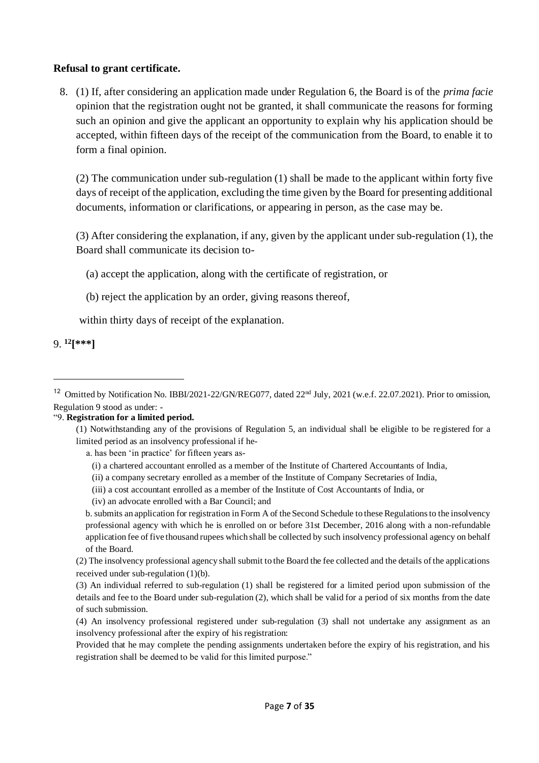#### **Refusal to grant certificate.**

8. (1) If, after considering an application made under Regulation 6, the Board is of the *prima facie*  opinion that the registration ought not be granted, it shall communicate the reasons for forming such an opinion and give the applicant an opportunity to explain why his application should be accepted, within fifteen days of the receipt of the communication from the Board, to enable it to form a final opinion.

(2) The communication under sub-regulation (1) shall be made to the applicant within forty five days of receipt of the application, excluding the time given by the Board for presenting additional documents, information or clarifications, or appearing in person, as the case may be.

(3) After considering the explanation, if any, given by the applicant under sub-regulation (1), the Board shall communicate its decision to-

- (a) accept the application, along with the certificate of registration, or
- (b) reject the application by an order, giving reasons thereof,

within thirty days of receipt of the explanation.

9. **<sup>12</sup>[\*\*\*]**

#### "9. **Registration for a limited period.**

a. has been 'in practice' for fifteen years as-

- (i) a chartered accountant enrolled as a member of the Institute of Chartered Accountants of India,
- (ii) a company secretary enrolled as a member of the Institute of Company Secretaries of India,
- (iii) a cost accountant enrolled as a member of the Institute of Cost Accountants of India, or
- (iv) an advocate enrolled with a Bar Council; and

b. submits an application for registration in Form A of the Second Schedule to these Regulations to the insolvency professional agency with which he is enrolled on or before 31st December, 2016 along with a non-refundable application fee of five thousand rupees which shall be collected by such insolvency professional agency on behalf of the Board.

(2) The insolvency professional agency shall submit to the Board the fee collected and the details of the applications received under sub-regulation (1)(b).

(3) An individual referred to sub-regulation (1) shall be registered for a limited period upon submission of the details and fee to the Board under sub-regulation (2), which shall be valid for a period of six months from the date of such submission.

Provided that he may complete the pending assignments undertaken before the expiry of his registration, and his registration shall be deemed to be valid for this limited purpose."

<sup>&</sup>lt;sup>12</sup> Omitted by Notification No. IBBI/2021-22/GN/REG077, dated 22<sup>nd</sup> July, 2021 (w.e.f. 22.07.2021). Prior to omission, Regulation 9 stood as under: -

<sup>(1)</sup> Notwithstanding any of the provisions of Regulation 5, an individual shall be eligible to be registered for a limited period as an insolvency professional if he-

<sup>(4)</sup> An insolvency professional registered under sub-regulation (3) shall not undertake any assignment as an insolvency professional after the expiry of his registration: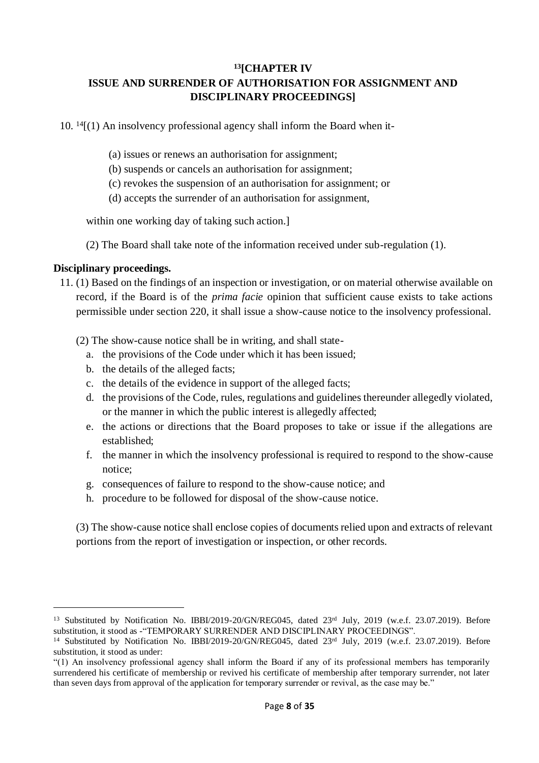### **<sup>13</sup>[CHAPTER IV ISSUE AND SURRENDER OF AUTHORISATION FOR ASSIGNMENT AND DISCIPLINARY PROCEEDINGS]**

 $10.$  <sup>14</sup> $[(1)$  An insolvency professional agency shall inform the Board when it-

- (a) issues or renews an authorisation for assignment;
- (b) suspends or cancels an authorisation for assignment;
- (c) revokes the suspension of an authorisation for assignment; or
- (d) accepts the surrender of an authorisation for assignment,

within one working day of taking such action.]

(2) The Board shall take note of the information received under sub-regulation (1).

#### **Disciplinary proceedings.**

11. (1) Based on the findings of an inspection or investigation, or on material otherwise available on record, if the Board is of the *prima facie* opinion that sufficient cause exists to take actions permissible under section 220, it shall issue a show-cause notice to the insolvency professional.

(2) The show-cause notice shall be in writing, and shall state-

- a. the provisions of the Code under which it has been issued;
- b. the details of the alleged facts;
- c. the details of the evidence in support of the alleged facts;
- d. the provisions of the Code, rules, regulations and guidelines thereunder allegedly violated, or the manner in which the public interest is allegedly affected;
- e. the actions or directions that the Board proposes to take or issue if the allegations are established;
- f. the manner in which the insolvency professional is required to respond to the show-cause notice;
- g. consequences of failure to respond to the show-cause notice; and
- h. procedure to be followed for disposal of the show-cause notice.

(3) The show-cause notice shall enclose copies of documents relied upon and extracts of relevant portions from the report of investigation or inspection, or other records.

<sup>&</sup>lt;sup>13</sup> Substituted by Notification No. IBBI/2019-20/GN/REG045, dated 23<sup>rd</sup> July, 2019 (w.e.f. 23.07.2019). Before substitution, it stood as -"TEMPORARY SURRENDER AND DISCIPLINARY PROCEEDINGS".

<sup>&</sup>lt;sup>14</sup> Substituted by Notification No. IBBI/2019-20/GN/REG045, dated 23rd July, 2019 (w.e.f. 23.07.2019). Before substitution, it stood as under:

<sup>&</sup>quot;(1) An insolvency professional agency shall inform the Board if any of its professional members has temporarily surrendered his certificate of membership or revived his certificate of membership after temporary surrender, not later than seven days from approval of the application for temporary surrender or revival, as the case may be."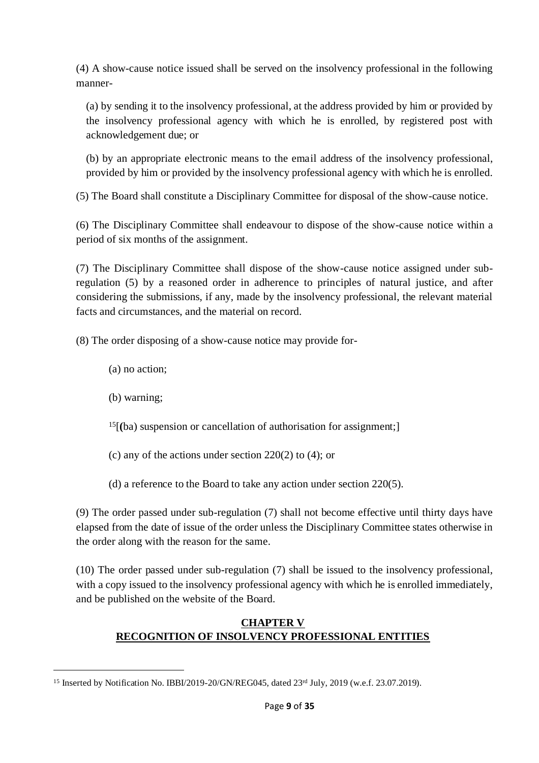(4) A show-cause notice issued shall be served on the insolvency professional in the following manner-

(a) by sending it to the insolvency professional, at the address provided by him or provided by the insolvency professional agency with which he is enrolled, by registered post with acknowledgement due; or

(b) by an appropriate electronic means to the email address of the insolvency professional, provided by him or provided by the insolvency professional agency with which he is enrolled.

(5) The Board shall constitute a Disciplinary Committee for disposal of the show-cause notice.

(6) The Disciplinary Committee shall endeavour to dispose of the show-cause notice within a period of six months of the assignment.

(7) The Disciplinary Committee shall dispose of the show-cause notice assigned under subregulation (5) by a reasoned order in adherence to principles of natural justice, and after considering the submissions, if any, made by the insolvency professional, the relevant material facts and circumstances, and the material on record.

(8) The order disposing of a show-cause notice may provide for-

- (a) no action;
- (b) warning;
- <sup>15</sup>[**(**ba) suspension or cancellation of authorisation for assignment;]
- (c) any of the actions under section 220(2) to (4); or
- (d) a reference to the Board to take any action under section 220(5).

(9) The order passed under sub-regulation (7) shall not become effective until thirty days have elapsed from the date of issue of the order unless the Disciplinary Committee states otherwise in the order along with the reason for the same.

(10) The order passed under sub-regulation (7) shall be issued to the insolvency professional, with a copy issued to the insolvency professional agency with which he is enrolled immediately, and be published on the website of the Board.

## **CHAPTER V RECOGNITION OF INSOLVENCY PROFESSIONAL ENTITIES**

<sup>&</sup>lt;sup>15</sup> Inserted by Notification No. IBBI/2019-20/GN/REG045, dated 23<sup>rd</sup> July, 2019 (w.e.f. 23.07.2019).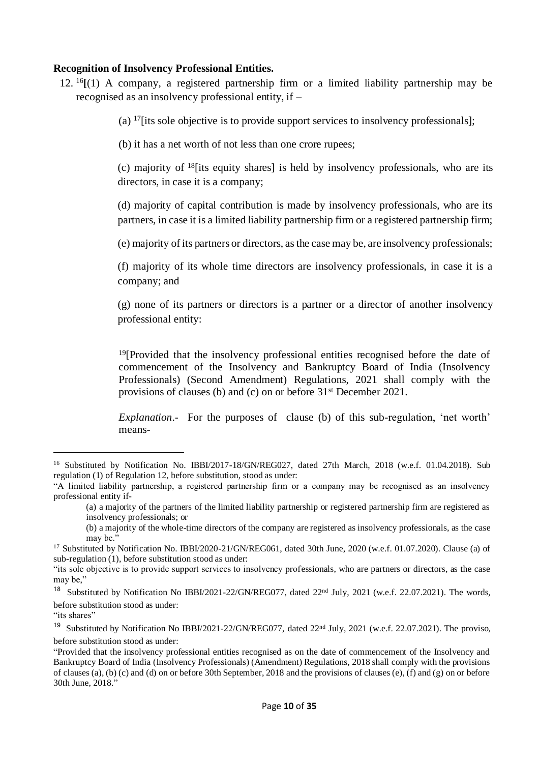#### **Recognition of Insolvency Professional Entities.**

12. <sup>16</sup>**[**(1) A company, a registered partnership firm or a limited liability partnership may be recognised as an insolvency professional entity, if –

(a) <sup>17</sup>[its sole objective is to provide support services to insolvency professionals];

(b) it has a net worth of not less than one crore rupees;

(c) majority of  $18$  [its equity shares] is held by insolvency professionals, who are its directors, in case it is a company;

(d) majority of capital contribution is made by insolvency professionals, who are its partners, in case it is a limited liability partnership firm or a registered partnership firm;

(e) majority of its partners or directors, as the case may be, are insolvency professionals;

(f) majority of its whole time directors are insolvency professionals, in case it is a company; and

(g) none of its partners or directors is a partner or a director of another insolvency professional entity:

<sup>19</sup>[Provided that the insolvency professional entities recognised before the date of commencement of the Insolvency and Bankruptcy Board of India (Insolvency Professionals) (Second Amendment) Regulations, 2021 shall comply with the provisions of clauses (b) and (c) on or before 31st December 2021.

*Explanation*.- For the purposes of clause (b) of this sub-regulation, 'net worth' means-

<sup>&</sup>lt;sup>16</sup> Substituted by Notification No. IBBI/2017-18/GN/REG027, dated 27th March, 2018 (w.e.f. 01.04.2018). Sub regulation (1) of Regulation 12, before substitution, stood as under:

<sup>&</sup>quot;A limited liability partnership, a registered partnership firm or a company may be recognised as an insolvency professional entity if-

<sup>(</sup>a) a majority of the partners of the limited liability partnership or registered partnership firm are registered as insolvency professionals; or

<sup>(</sup>b) a majority of the whole-time directors of the company are registered as insolvency professionals, as the case may be."

<sup>&</sup>lt;sup>17</sup> Substituted by Notification No. IBBI/2020-21/GN/REG061, dated 30th June, 2020 (w.e.f. 01.07.2020). Clause (a) of sub-regulation (1), before substitution stood as under:

<sup>&</sup>quot;its sole objective is to provide support services to insolvency professionals, who are partners or directors, as the case may be,"

<sup>&</sup>lt;sup>18</sup> Substituted by Notification No IBBI/2021-22/GN/REG077, dated 22<sup>nd</sup> July, 2021 (w.e.f. 22.07.2021). The words, before substitution stood as under:

<sup>&</sup>quot;its shares"

<sup>&</sup>lt;sup>19</sup> Substituted by Notification No IBBI/2021-22/GN/REG077, dated 22<sup>nd</sup> July, 2021 (w.e.f. 22.07.2021). The proviso, before substitution stood as under:

<sup>&</sup>quot;Provided that the insolvency professional entities recognised as on the date of commencement of the Insolvency and Bankruptcy Board of India (Insolvency Professionals) (Amendment) Regulations, 2018 shall comply with the provisions of clauses (a), (b) (c) and (d) on or before 30th September, 2018 and the provisions of clauses (e), (f) and (g) on or before 30th June, 2018."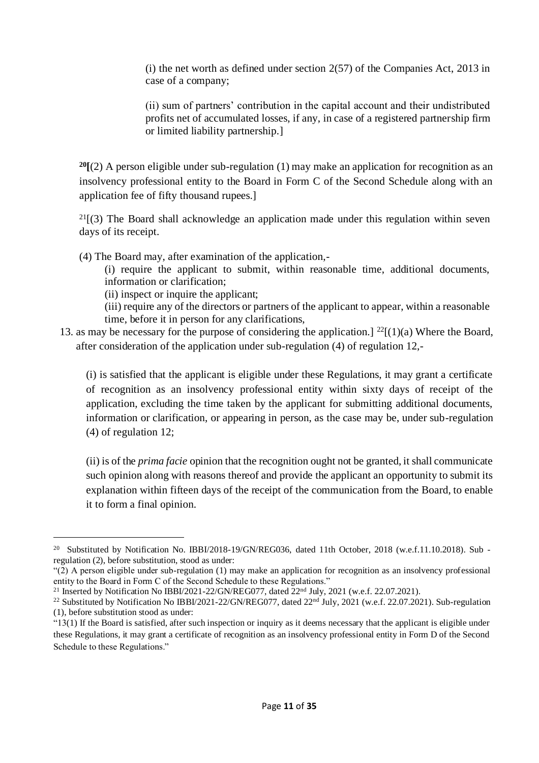$(i)$  the net worth as defined under section 2(57) of the Companies Act, 2013 in case of a company;

(ii) sum of partners' contribution in the capital account and their undistributed profits net of accumulated losses, if any, in case of a registered partnership firm or limited liability partnership.]

**<sup>20</sup>[**(2) A person eligible under sub-regulation (1) may make an application for recognition as an insolvency professional entity to the Board in Form C of the Second Schedule along with an application fee of fifty thousand rupees.]

 $21(3)$  The Board shall acknowledge an application made under this regulation within seven days of its receipt.

(4) The Board may, after examination of the application,-

(i) require the applicant to submit, within reasonable time, additional documents, information or clarification;

(ii) inspect or inquire the applicant;

(iii) require any of the directors or partners of the applicant to appear, within a reasonable time, before it in person for any clarifications,

13. as may be necessary for the purpose of considering the application.]  $^{22}[(1)(a)$  Where the Board, after consideration of the application under sub-regulation (4) of regulation 12,-

(i) is satisfied that the applicant is eligible under these Regulations, it may grant a certificate of recognition as an insolvency professional entity within sixty days of receipt of the application, excluding the time taken by the applicant for submitting additional documents, information or clarification, or appearing in person, as the case may be, under sub-regulation (4) of regulation 12;

(ii) is of the *prima facie* opinion that the recognition ought not be granted, it shall communicate such opinion along with reasons thereof and provide the applicant an opportunity to submit its explanation within fifteen days of the receipt of the communication from the Board, to enable it to form a final opinion.

<sup>&</sup>lt;sup>20</sup> Substituted by Notification No. IBBI/2018-19/GN/REG036, dated 11th October, 2018 (w.e.f.11.10.2018). Sub regulation (2), before substitution, stood as under:

<sup>&</sup>quot;(2) A person eligible under sub-regulation (1) may make an application for recognition as an insolvency professional entity to the Board in Form C of the Second Schedule to these Regulations."

<sup>&</sup>lt;sup>21</sup> Inserted by Notification No IBBI/2021-22/GN/REG077, dated 22<sup>nd</sup> July, 2021 (w.e.f. 22.07.2021).

<sup>&</sup>lt;sup>22</sup> Substituted by Notification No IBBI/2021-22/GN/REG077, dated 22<sup>nd</sup> July, 2021 (w.e.f. 22.07.2021). Sub-regulation (1), before substitution stood as under:

<sup>&</sup>quot;13(1) If the Board is satisfied, after such inspection or inquiry as it deems necessary that the applicant is eligible under these Regulations, it may grant a certificate of recognition as an insolvency professional entity in Form D of the Second Schedule to these Regulations."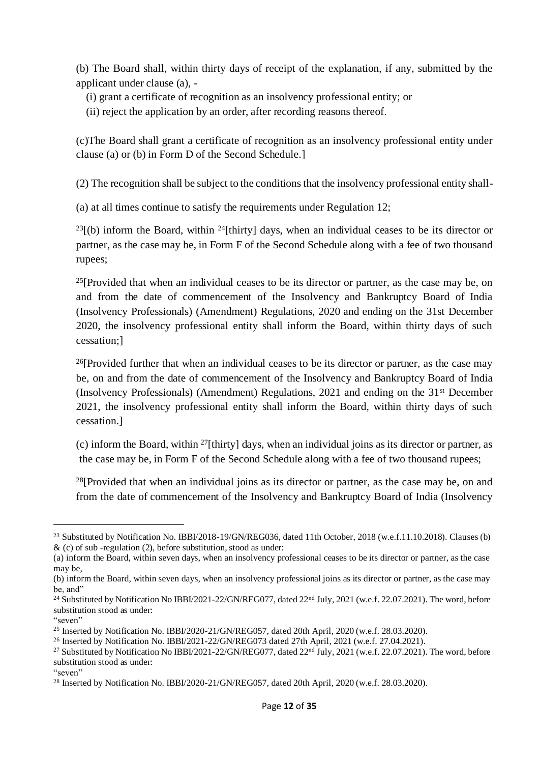(b) The Board shall, within thirty days of receipt of the explanation, if any, submitted by the applicant under clause (a), -

(i) grant a certificate of recognition as an insolvency professional entity; or

(ii) reject the application by an order, after recording reasons thereof.

(c)The Board shall grant a certificate of recognition as an insolvency professional entity under clause (a) or (b) in Form D of the Second Schedule.]

(2) The recognition shall be subject to the conditions that the insolvency professional entity shall-

(a) at all times continue to satisfy the requirements under Regulation 12;

 $^{23}$ [(b) inform the Board, within <sup>24</sup>[thirty] days, when an individual ceases to be its director or partner, as the case may be, in Form F of the Second Schedule along with a fee of two thousand rupees;

 $25$ [Provided that when an individual ceases to be its director or partner, as the case may be, on and from the date of commencement of the Insolvency and Bankruptcy Board of India (Insolvency Professionals) (Amendment) Regulations, 2020 and ending on the 31st December 2020, the insolvency professional entity shall inform the Board, within thirty days of such cessation;]

 $26$ [Provided further that when an individual ceases to be its director or partner, as the case may be, on and from the date of commencement of the Insolvency and Bankruptcy Board of India (Insolvency Professionals) (Amendment) Regulations, 2021 and ending on the 31st December 2021, the insolvency professional entity shall inform the Board, within thirty days of such cessation.]

(c) inform the Board, within <sup>27</sup>[thirty] days, when an individual joins as its director or partner, as the case may be, in Form F of the Second Schedule along with a fee of two thousand rupees;

<sup>28</sup>[Provided that when an individual joins as its director or partner, as the case may be, on and from the date of commencement of the Insolvency and Bankruptcy Board of India (Insolvency

<sup>&</sup>lt;sup>23</sup> Substituted by Notification No. IBBI/2018-19/GN/REG036, dated 11th October, 2018 (w.e.f.11.10.2018). Clauses (b)  $\&$  (c) of sub-regulation (2), before substitution, stood as under:

<sup>(</sup>a) inform the Board, within seven days, when an insolvency professional ceases to be its director or partner, as the case may be,

<sup>(</sup>b) inform the Board, within seven days, when an insolvency professional joins as its director or partner, as the case may be, and"

<sup>&</sup>lt;sup>24</sup> Substituted by Notification No IBBI/2021-22/GN/REG077, dated 22<sup>nd</sup> July, 2021 (w.e.f. 22.07.2021). The word, before substitution stood as under:

<sup>&</sup>quot;seven"

<sup>25</sup> Inserted by Notification No. IBBI/2020-21/GN/REG057, dated 20th April, 2020 (w.e.f. 28.03.2020).

<sup>&</sup>lt;sup>26</sup> Inserted by Notification No. IBBI/2021-22/GN/REG073 dated 27th April, 2021 (w.e.f. 27.04.2021).

<sup>&</sup>lt;sup>27</sup> Substituted by Notification No IBBI/2021-22/GN/REG077, dated 22<sup>nd</sup> July, 2021 (w.e.f. 22.07.2021). The word, before substitution stood as under:

<sup>&</sup>quot;seven"

<sup>&</sup>lt;sup>28</sup> Inserted by Notification No. IBBI/2020-21/GN/REG057, dated 20th April, 2020 (w.e.f. 28.03.2020).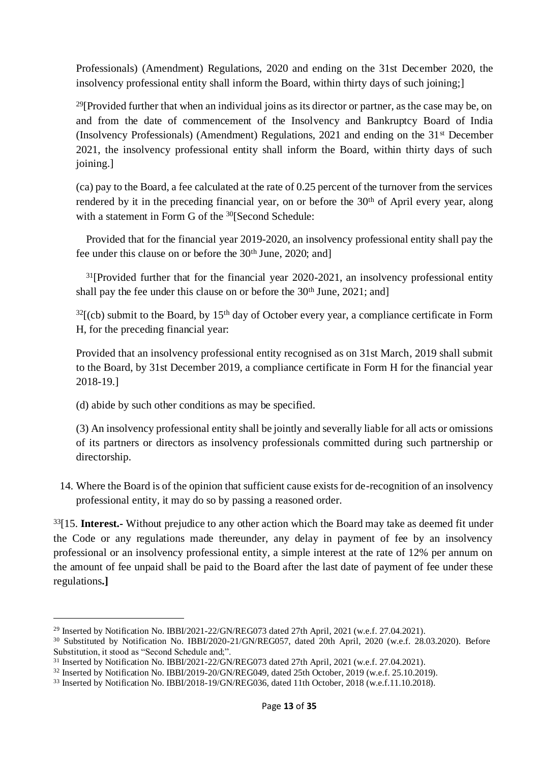Professionals) (Amendment) Regulations, 2020 and ending on the 31st December 2020, the insolvency professional entity shall inform the Board, within thirty days of such joining;]

<sup>29</sup>[Provided further that when an individual joins as its director or partner, as the case may be, on and from the date of commencement of the Insolvency and Bankruptcy Board of India (Insolvency Professionals) (Amendment) Regulations, 2021 and ending on the 31st December 2021, the insolvency professional entity shall inform the Board, within thirty days of such joining.]

(ca) pay to the Board, a fee calculated at the rate of 0.25 percent of the turnover from the services rendered by it in the preceding financial year, on or before the 30<sup>th</sup> of April every year, along with a statement in Form G of the <sup>30</sup>[Second Schedule:

Provided that for the financial year 2019-2020, an insolvency professional entity shall pay the fee under this clause on or before the 30<sup>th</sup> June, 2020; and]

 $31$ [Provided further that for the financial year 2020-2021, an insolvency professional entity shall pay the fee under this clause on or before the  $30<sup>th</sup>$  June,  $2021$ ; and]

 $32$ [(cb) submit to the Board, by 15<sup>th</sup> day of October every year, a compliance certificate in Form H, for the preceding financial year:

Provided that an insolvency professional entity recognised as on 31st March, 2019 shall submit to the Board, by 31st December 2019, a compliance certificate in Form H for the financial year 2018-19.]

(d) abide by such other conditions as may be specified.

(3) An insolvency professional entity shall be jointly and severally liable for all acts or omissions of its partners or directors as insolvency professionals committed during such partnership or directorship.

14. Where the Board is of the opinion that sufficient cause exists for de-recognition of an insolvency professional entity, it may do so by passing a reasoned order.

<sup>33</sup>[15. **Interest.-** Without prejudice to any other action which the Board may take as deemed fit under the Code or any regulations made thereunder, any delay in payment of fee by an insolvency professional or an insolvency professional entity, a simple interest at the rate of 12% per annum on the amount of fee unpaid shall be paid to the Board after the last date of payment of fee under these regulations**.]** 

<sup>&</sup>lt;sup>29</sup> Inserted by Notification No. IBBI/2021-22/GN/REG073 dated 27th April, 2021 (w.e.f. 27.04.2021).

<sup>30</sup> Substituted by Notification No. IBBI/2020-21/GN/REG057, dated 20th April, 2020 (w.e.f. 28.03.2020). Before Substitution, it stood as "Second Schedule and;".

<sup>31</sup> Inserted by Notification No. IBBI/2021-22/GN/REG073 dated 27th April, 2021 (w.e.f. 27.04.2021).

<sup>&</sup>lt;sup>32</sup> Inserted by Notification No. IBBI/2019-20/GN/REG049, dated 25th October, 2019 (w.e.f. 25.10.2019).

<sup>33</sup> Inserted by Notification No. IBBI/2018-19/GN/REG036, dated 11th October, 2018 (w.e.f.11.10.2018).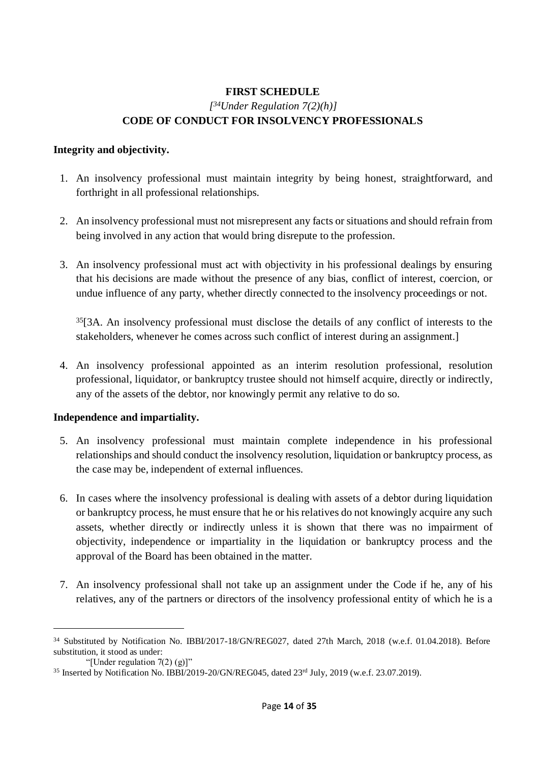### **FIRST SCHEDULE** *[ <sup>34</sup>Under Regulation 7(2)(h)]* **CODE OF CONDUCT FOR INSOLVENCY PROFESSIONALS**

#### **Integrity and objectivity.**

- 1. An insolvency professional must maintain integrity by being honest, straightforward, and forthright in all professional relationships.
- 2. An insolvency professional must not misrepresent any facts or situations and should refrain from being involved in any action that would bring disrepute to the profession.
- 3. An insolvency professional must act with objectivity in his professional dealings by ensuring that his decisions are made without the presence of any bias, conflict of interest, coercion, or undue influence of any party, whether directly connected to the insolvency proceedings or not.

<sup>35</sup>[3A. An insolvency professional must disclose the details of any conflict of interests to the stakeholders, whenever he comes across such conflict of interest during an assignment.]

4. An insolvency professional appointed as an interim resolution professional, resolution professional, liquidator, or bankruptcy trustee should not himself acquire, directly or indirectly, any of the assets of the debtor, nor knowingly permit any relative to do so.

#### **Independence and impartiality.**

- 5. An insolvency professional must maintain complete independence in his professional relationships and should conduct the insolvency resolution, liquidation or bankruptcy process, as the case may be, independent of external influences.
- 6. In cases where the insolvency professional is dealing with assets of a debtor during liquidation or bankruptcy process, he must ensure that he or his relatives do not knowingly acquire any such assets, whether directly or indirectly unless it is shown that there was no impairment of objectivity, independence or impartiality in the liquidation or bankruptcy process and the approval of the Board has been obtained in the matter.
- 7. An insolvency professional shall not take up an assignment under the Code if he, any of his relatives, any of the partners or directors of the insolvency professional entity of which he is a

<sup>34</sup> Substituted by Notification No. IBBI/2017-18/GN/REG027, dated 27th March, 2018 (w.e.f. 01.04.2018). Before substitution, it stood as under:

<sup>&</sup>quot;[Under regulation 7(2) (g)]"

<sup>35</sup> Inserted by Notification No. IBBI/2019-20/GN/REG045, dated 23rd July, 2019 (w.e.f. 23.07.2019).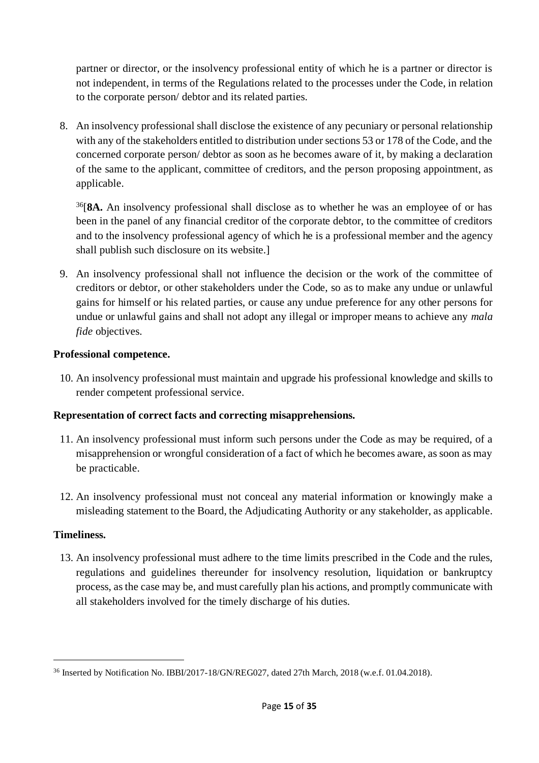partner or director, or the insolvency professional entity of which he is a partner or director is not independent, in terms of the Regulations related to the processes under the Code, in relation to the corporate person/ debtor and its related parties.

8. An insolvency professional shall disclose the existence of any pecuniary or personal relationship with any of the stakeholders entitled to distribution under sections 53 or 178 of the Code, and the concerned corporate person/ debtor as soon as he becomes aware of it, by making a declaration of the same to the applicant, committee of creditors, and the person proposing appointment, as applicable.

<sup>36</sup>[**8A.** An insolvency professional shall disclose as to whether he was an employee of or has been in the panel of any financial creditor of the corporate debtor, to the committee of creditors and to the insolvency professional agency of which he is a professional member and the agency shall publish such disclosure on its website.]

9. An insolvency professional shall not influence the decision or the work of the committee of creditors or debtor, or other stakeholders under the Code, so as to make any undue or unlawful gains for himself or his related parties, or cause any undue preference for any other persons for undue or unlawful gains and shall not adopt any illegal or improper means to achieve any *mala fide* objectives.

### **Professional competence.**

10. An insolvency professional must maintain and upgrade his professional knowledge and skills to render competent professional service.

## **Representation of correct facts and correcting misapprehensions.**

- 11. An insolvency professional must inform such persons under the Code as may be required, of a misapprehension or wrongful consideration of a fact of which he becomes aware, as soon as may be practicable.
- 12. An insolvency professional must not conceal any material information or knowingly make a misleading statement to the Board, the Adjudicating Authority or any stakeholder, as applicable.

### **Timeliness.**

13. An insolvency professional must adhere to the time limits prescribed in the Code and the rules, regulations and guidelines thereunder for insolvency resolution, liquidation or bankruptcy process, as the case may be, and must carefully plan his actions, and promptly communicate with all stakeholders involved for the timely discharge of his duties.

<sup>36</sup> Inserted by Notification No. IBBI/2017-18/GN/REG027, dated 27th March, 2018 (w.e.f. 01.04.2018).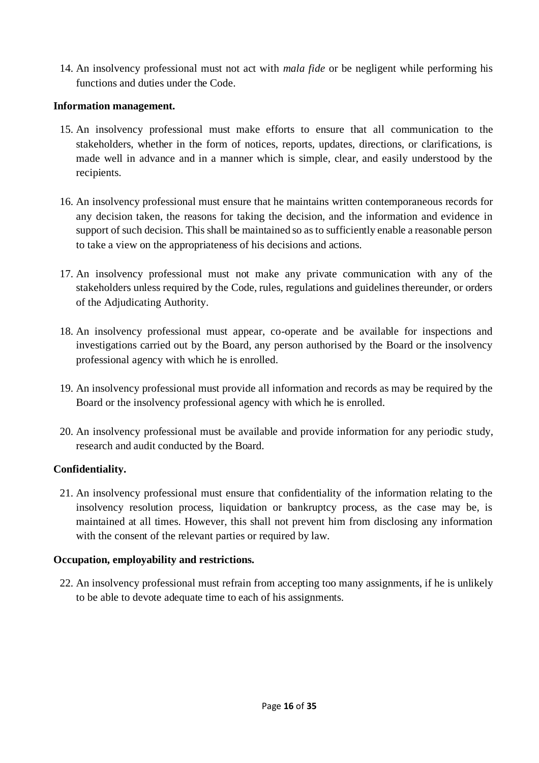14. An insolvency professional must not act with *mala fide* or be negligent while performing his functions and duties under the Code.

#### **Information management.**

- 15. An insolvency professional must make efforts to ensure that all communication to the stakeholders, whether in the form of notices, reports, updates, directions, or clarifications, is made well in advance and in a manner which is simple, clear, and easily understood by the recipients.
- 16. An insolvency professional must ensure that he maintains written contemporaneous records for any decision taken, the reasons for taking the decision, and the information and evidence in support of such decision. This shall be maintained so as to sufficiently enable a reasonable person to take a view on the appropriateness of his decisions and actions.
- 17. An insolvency professional must not make any private communication with any of the stakeholders unless required by the Code, rules, regulations and guidelines thereunder, or orders of the Adjudicating Authority.
- 18. An insolvency professional must appear, co-operate and be available for inspections and investigations carried out by the Board, any person authorised by the Board or the insolvency professional agency with which he is enrolled.
- 19. An insolvency professional must provide all information and records as may be required by the Board or the insolvency professional agency with which he is enrolled.
- 20. An insolvency professional must be available and provide information for any periodic study, research and audit conducted by the Board.

### **Confidentiality.**

21. An insolvency professional must ensure that confidentiality of the information relating to the insolvency resolution process, liquidation or bankruptcy process, as the case may be, is maintained at all times. However, this shall not prevent him from disclosing any information with the consent of the relevant parties or required by law.

#### **Occupation, employability and restrictions.**

22. An insolvency professional must refrain from accepting too many assignments, if he is unlikely to be able to devote adequate time to each of his assignments.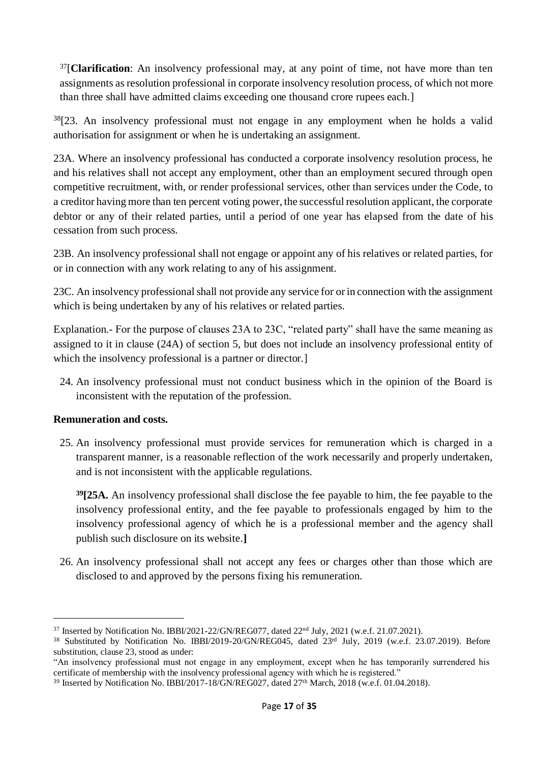<sup>37</sup>[**Clarification**: An insolvency professional may, at any point of time, not have more than ten assignments as resolution professional in corporate insolvency resolution process, of which not more than three shall have admitted claims exceeding one thousand crore rupees each.]

 $38[23.$  An insolvency professional must not engage in any employment when he holds a valid authorisation for assignment or when he is undertaking an assignment.

23A. Where an insolvency professional has conducted a corporate insolvency resolution process, he and his relatives shall not accept any employment, other than an employment secured through open competitive recruitment, with, or render professional services, other than services under the Code, to a creditor having more than ten percent voting power, the successful resolution applicant, the corporate debtor or any of their related parties, until a period of one year has elapsed from the date of his cessation from such process.

23B. An insolvency professional shall not engage or appoint any of his relatives or related parties, for or in connection with any work relating to any of his assignment.

23C. An insolvency professional shall not provide any service for or in connection with the assignment which is being undertaken by any of his relatives or related parties.

Explanation*.-* For the purpose of clauses 23A to 23C, "related party" shall have the same meaning as assigned to it in clause (24A) of section 5, but does not include an insolvency professional entity of which the insolvency professional is a partner or director.

24. An insolvency professional must not conduct business which in the opinion of the Board is inconsistent with the reputation of the profession.

#### **Remuneration and costs.**

25. An insolvency professional must provide services for remuneration which is charged in a transparent manner, is a reasonable reflection of the work necessarily and properly undertaken, and is not inconsistent with the applicable regulations.

**<sup>39</sup>[25A.** An insolvency professional shall disclose the fee payable to him, the fee payable to the insolvency professional entity, and the fee payable to professionals engaged by him to the insolvency professional agency of which he is a professional member and the agency shall publish such disclosure on its website.**]** 

26. An insolvency professional shall not accept any fees or charges other than those which are disclosed to and approved by the persons fixing his remuneration.

<sup>&</sup>lt;sup>37</sup> Inserted by Notification No. IBBI/2021-22/GN/REG077, dated 22<sup>nd</sup> July, 2021 (w.e.f. 21.07.2021).

<sup>38</sup> Substituted by Notification No. IBBI/2019-20/GN/REG045, dated 23rd July, 2019 (w.e.f. 23.07.2019). Before substitution, clause 23, stood as under:

<sup>&</sup>quot;An insolvency professional must not engage in any employment, except when he has temporarily surrendered his certificate of membership with the insolvency professional agency with which he is registered."

<sup>&</sup>lt;sup>39</sup> Inserted by Notification No. IBBI/2017-18/GN/REG027, dated 27<sup>th</sup> March, 2018 (w.e.f. 01.04.2018).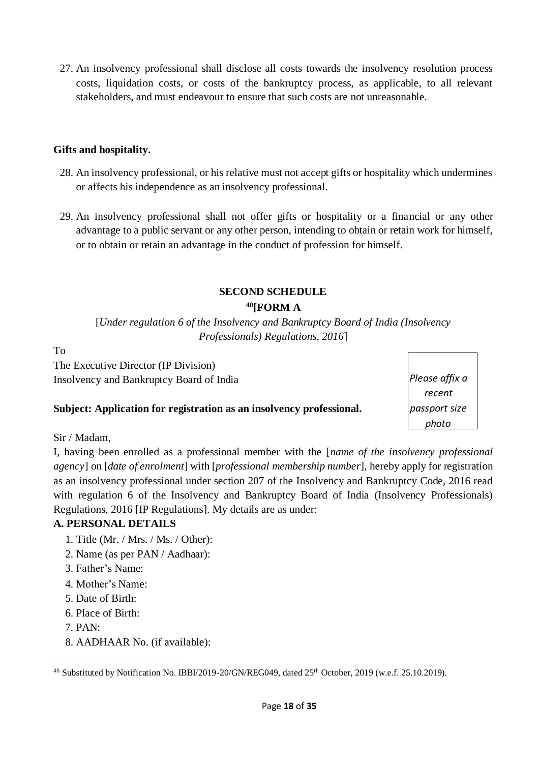27. An insolvency professional shall disclose all costs towards the insolvency resolution process costs, liquidation costs, or costs of the bankruptcy process, as applicable, to all relevant stakeholders, and must endeavour to ensure that such costs are not unreasonable.

#### **Gifts and hospitality.**

- 28. An insolvency professional, or his relative must not accept gifts or hospitality which undermines or affects his independence as an insolvency professional.
- 29. An insolvency professional shall not offer gifts or hospitality or a financial or any other advantage to a public servant or any other person, intending to obtain or retain work for himself, or to obtain or retain an advantage in the conduct of profession for himself.

## **SECOND SCHEDULE <sup>40</sup>[FORM A**

[*Under regulation 6 of the Insolvency and Bankruptcy Board of India (Insolvency Professionals) Regulations, 2016*]

To

The Executive Director (IP Division) Insolvency and Bankruptcy Board of India

### **Subject: Application for registration as an insolvency professional.**

*Please affix a recent passport size photo*

Sir / Madam,

I, having been enrolled as a professional member with the [*name of the insolvency professional agency*] on [*date of enrolment*] with [*professional membership number*], hereby apply for registration as an insolvency professional under section 207 of the Insolvency and Bankruptcy Code, 2016 read with regulation 6 of the Insolvency and Bankruptcy Board of India (Insolvency Professionals) Regulations, 2016 [IP Regulations]. My details are as under:

## **A. PERSONAL DETAILS**

- 1. Title (Mr. / Mrs. / Ms. / Other):
- 2. Name (as per PAN / Aadhaar):
- 3. Father's Name:
- 4. Mother's Name:
- 5. Date of Birth:
- 6. Place of Birth:
- 7. PAN:
- 8. AADHAAR No. (if available):

<sup>&</sup>lt;sup>40</sup> Substituted by Notification No. IBBI/2019-20/GN/REG049, dated 25<sup>th</sup> October, 2019 (w.e.f. 25.10.2019).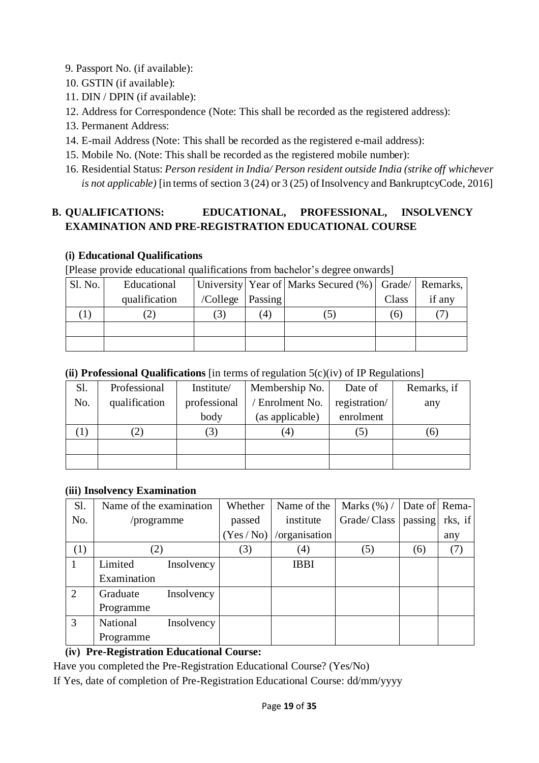- 9. Passport No. (if available):
- 10. GSTIN (if available):
- 11. DIN / DPIN (if available):
- 12. Address for Correspondence (Note: This shall be recorded as the registered address):
- 13. Permanent Address:
- 14. E-mail Address (Note: This shall be recorded as the registered e-mail address):
- 15. Mobile No. (Note: This shall be recorded as the registered mobile number):
- 16. Residential Status: *Person resident in India/ Person resident outside India (strike off whichever is not applicable)* [in terms of section 3 (24) or 3 (25) of Insolvency and BankruptcyCode, 2016]

## **B. QUALIFICATIONS: EDUCATIONAL, PROFESSIONAL, INSOLVENCY EXAMINATION AND PRE-REGISTRATION EDUCATIONAL COURSE**

## **(i) Educational Qualifications**

[Please provide educational qualifications from bachelor's degree onwards]

| Sl. No. | Educational   |                    |                  | University   Year of   Marks Secured (%)   Grade/   Remarks, |              |        |
|---------|---------------|--------------------|------------------|--------------------------------------------------------------|--------------|--------|
|         | qualification | /College   Passing |                  |                                                              | Class        | if any |
|         |               | $\left(3\right)$   | $\left(4\right)$ |                                                              | <sup>6</sup> |        |
|         |               |                    |                  |                                                              |              |        |
|         |               |                    |                  |                                                              |              |        |

### **(ii) Professional Qualifications** [in terms of regulation 5(c)(iv) of IP Regulations]

| Sl. | Professional  | Institute/   | Membership No.   | Date of       | Remarks, if |
|-----|---------------|--------------|------------------|---------------|-------------|
| No. | qualification | professional | / Enrolment No.  | registration/ | any         |
|     |               | body         | (as applicable)  | enrolment     |             |
|     |               | (3)          | $\left(4\right)$ | .J)           | (6)         |
|     |               |              |                  |               |             |
|     |               |              |                  |               |             |

### **(iii) Insolvency Examination**

| Sl.          | Name of the examination |            | Whether  | Name of the      | Marks $(\%)$ / | Date of Rema- |         |
|--------------|-------------------------|------------|----------|------------------|----------------|---------------|---------|
| No.          | /programme              |            | passed   | institute        | Grade/Class    | passing       | rks, if |
|              |                         |            | (Yes/No) | /organisation    |                |               | any     |
| (1)          | (2)                     |            | (3)      | $\left(4\right)$ | (5)            | (6)           | (7)     |
| $\mathbf{1}$ | Limited                 | Insolvency |          | <b>IBBI</b>      |                |               |         |
|              | Examination             |            |          |                  |                |               |         |
| 2            | Graduate                | Insolvency |          |                  |                |               |         |
|              | Programme               |            |          |                  |                |               |         |
| 3            | National                | Insolvency |          |                  |                |               |         |
|              | Programme               |            |          |                  |                |               |         |

## **(iv) Pre-Registration Educational Course:**

Have you completed the Pre-Registration Educational Course? (Yes/No)

If Yes, date of completion of Pre-Registration Educational Course: dd/mm/yyyy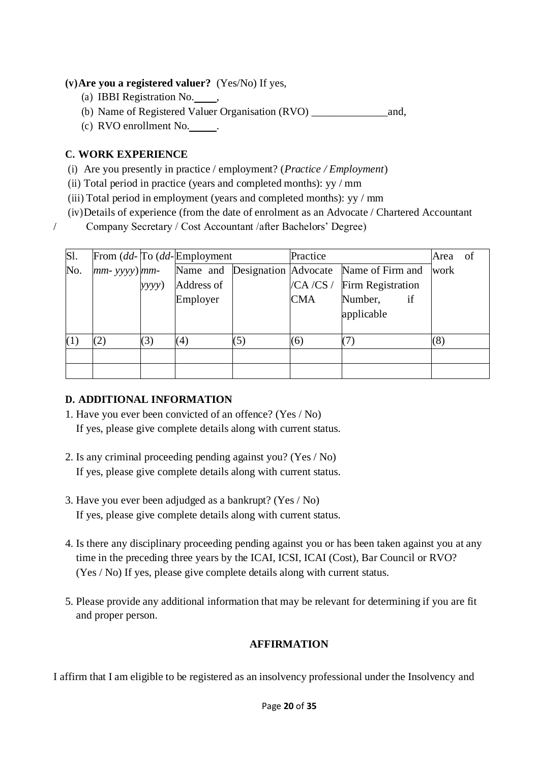### **(v)Are you a registered valuer?** (Yes/No) If yes,

- (a) IBBI Registration No.  $\qquad \qquad$
- (b) Name of Registered Valuer Organisation (RVO) \_\_\_\_\_\_\_\_\_\_\_\_\_\_and,
- (c) RVO enrollment No.

#### **C. WORK EXPERIENCE**

- (i) Are you presently in practice / employment? (*Practice / Employment*)
- (ii) Total period in practice (years and completed months): yy / mm
- (iii) Total period in employment (years and completed months): yy / mm
- (iv)Details of experience (from the date of enrolment as an Advocate / Chartered Accountant
- / Company Secretary / Cost Accountant /after Bachelors' Degree)

| S1. |     |       | From $(dd$ - To $(dd$ - Employment |     | Practice   | Area                                                                                                  | of   |  |
|-----|-----|-------|------------------------------------|-----|------------|-------------------------------------------------------------------------------------------------------|------|--|
| No. |     |       |                                    |     |            | $\left  mm\text{-} \text{ yyyy} \right $ mm $\text{-}$ Name and Designation Advocate Name of Firm and | work |  |
|     |     | yyyy) | Address of                         |     | /CA/CS/    | Firm Registration                                                                                     |      |  |
|     |     |       | Employer                           |     | <b>CMA</b> | Number,<br>if                                                                                         |      |  |
|     |     |       |                                    |     |            | applicable                                                                                            |      |  |
|     |     |       |                                    |     |            |                                                                                                       |      |  |
| (1) | (2) | (3)   | (4)                                | (5) | (6)        |                                                                                                       | (8)  |  |
|     |     |       |                                    |     |            |                                                                                                       |      |  |
|     |     |       |                                    |     |            |                                                                                                       |      |  |

### **D. ADDITIONAL INFORMATION**

- 1. Have you ever been convicted of an offence? (Yes / No) If yes, please give complete details along with current status.
- 2. Is any criminal proceeding pending against you? (Yes / No) If yes, please give complete details along with current status.
- 3. Have you ever been adjudged as a bankrupt? (Yes / No) If yes, please give complete details along with current status.
- 4. Is there any disciplinary proceeding pending against you or has been taken against you at any time in the preceding three years by the ICAI, ICSI, ICAI (Cost), Bar Council or RVO? (Yes / No) If yes, please give complete details along with current status.
- 5. Please provide any additional information that may be relevant for determining if you are fit and proper person.

### **AFFIRMATION**

I affirm that I am eligible to be registered as an insolvency professional under the Insolvency and

#### Page **20** of **35**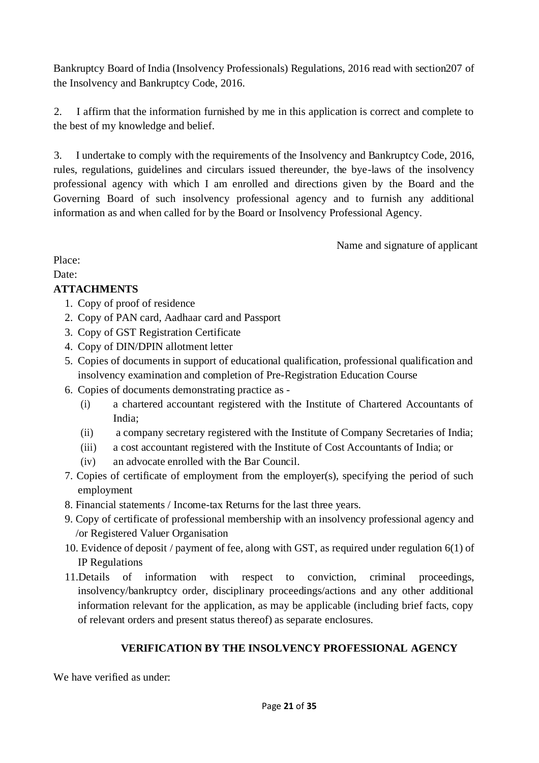Bankruptcy Board of India (Insolvency Professionals) Regulations, 2016 read with section207 of the Insolvency and Bankruptcy Code, 2016.

2. I affirm that the information furnished by me in this application is correct and complete to the best of my knowledge and belief.

3. I undertake to comply with the requirements of the Insolvency and Bankruptcy Code, 2016, rules, regulations, guidelines and circulars issued thereunder, the bye-laws of the insolvency professional agency with which I am enrolled and directions given by the Board and the Governing Board of such insolvency professional agency and to furnish any additional information as and when called for by the Board or Insolvency Professional Agency.

Name and signature of applicant

Place:

Date:

## **ATTACHMENTS**

- 1. Copy of proof of residence
- 2. Copy of PAN card, Aadhaar card and Passport
- 3. Copy of GST Registration Certificate
- 4. Copy of DIN/DPIN allotment letter
- 5. Copies of documents in support of educational qualification, professional qualification and insolvency examination and completion of Pre-Registration Education Course
- 6. Copies of documents demonstrating practice as
	- (i) a chartered accountant registered with the Institute of Chartered Accountants of India;
	- (ii) a company secretary registered with the Institute of Company Secretaries of India;
	- (iii) a cost accountant registered with the Institute of Cost Accountants of India; or
	- (iv) an advocate enrolled with the Bar Council.
- 7. Copies of certificate of employment from the employer(s), specifying the period of such employment
- 8. Financial statements / Income-tax Returns for the last three years.
- 9. Copy of certificate of professional membership with an insolvency professional agency and /or Registered Valuer Organisation
- 10. Evidence of deposit / payment of fee, along with GST, as required under regulation 6(1) of IP Regulations
- 11.Details of information with respect to conviction, criminal proceedings, insolvency/bankruptcy order, disciplinary proceedings/actions and any other additional information relevant for the application, as may be applicable (including brief facts, copy of relevant orders and present status thereof) as separate enclosures.

# **VERIFICATION BY THE INSOLVENCY PROFESSIONAL AGENCY**

We have verified as under: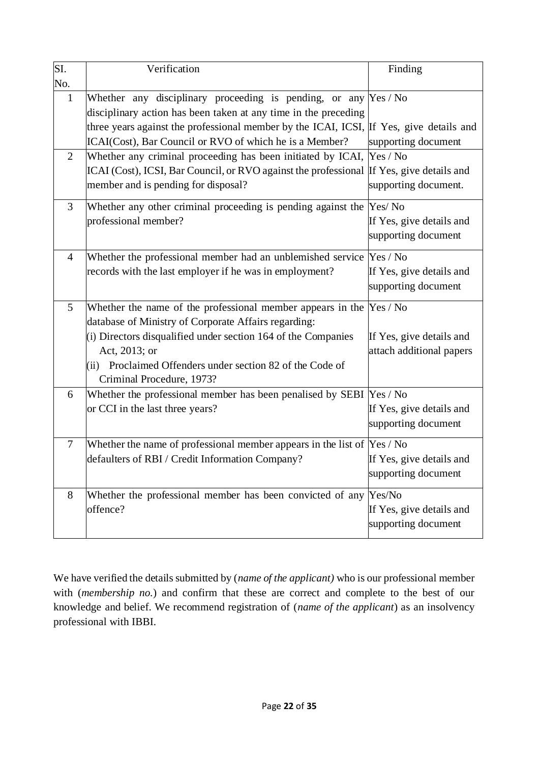| SI.            | Verification                                                                                                                         | Finding                                         |
|----------------|--------------------------------------------------------------------------------------------------------------------------------------|-------------------------------------------------|
| No.            |                                                                                                                                      |                                                 |
| $\mathbf{1}$   | Whether any disciplinary proceeding is pending, or any $Yes / No$<br>disciplinary action has been taken at any time in the preceding |                                                 |
|                | three years against the professional member by the ICAI, ICSI, If Yes, give details and                                              |                                                 |
|                | ICAI(Cost), Bar Council or RVO of which he is a Member?                                                                              | supporting document                             |
| $\overline{2}$ | Whether any criminal proceeding has been initiated by ICAI,                                                                          | Yes / No                                        |
|                | ICAI (Cost), ICSI, Bar Council, or RVO against the professional If Yes, give details and                                             |                                                 |
|                | member and is pending for disposal?                                                                                                  | supporting document.                            |
| $\mathfrak{Z}$ | Whether any other criminal proceeding is pending against the                                                                         | Yes/No                                          |
|                | professional member?                                                                                                                 | If Yes, give details and<br>supporting document |
| $\overline{4}$ | Whether the professional member had an unblemished service Yes / No                                                                  |                                                 |
|                | records with the last employer if he was in employment?                                                                              | If Yes, give details and<br>supporting document |
| 5              | Whether the name of the professional member appears in the $Yes / No$                                                                |                                                 |
|                | database of Ministry of Corporate Affairs regarding:                                                                                 |                                                 |
|                | (i) Directors disqualified under section 164 of the Companies                                                                        | If Yes, give details and                        |
|                | Act, 2013; or                                                                                                                        | attach additional papers                        |
|                | (ii) Proclaimed Offenders under section 82 of the Code of                                                                            |                                                 |
|                | Criminal Procedure, 1973?                                                                                                            |                                                 |
| 6              | Whether the professional member has been penalised by SEBI  Yes / No                                                                 |                                                 |
|                | or CCI in the last three years?                                                                                                      | If Yes, give details and                        |
|                |                                                                                                                                      | supporting document                             |
| $\overline{7}$ | Whether the name of professional member appears in the list of $Yes / No$                                                            |                                                 |
|                | defaulters of RBI / Credit Information Company?                                                                                      | If Yes, give details and                        |
|                |                                                                                                                                      | supporting document                             |
| 8              | Whether the professional member has been convicted of any                                                                            | Yes/No                                          |
|                | offence?                                                                                                                             | If Yes, give details and                        |
|                |                                                                                                                                      | supporting document                             |
|                |                                                                                                                                      |                                                 |

We have verified the details submitted by (*name of the applicant)* who is our professional member with (*membership no.*) and confirm that these are correct and complete to the best of our knowledge and belief. We recommend registration of (*name of the applicant*) as an insolvency professional with IBBI.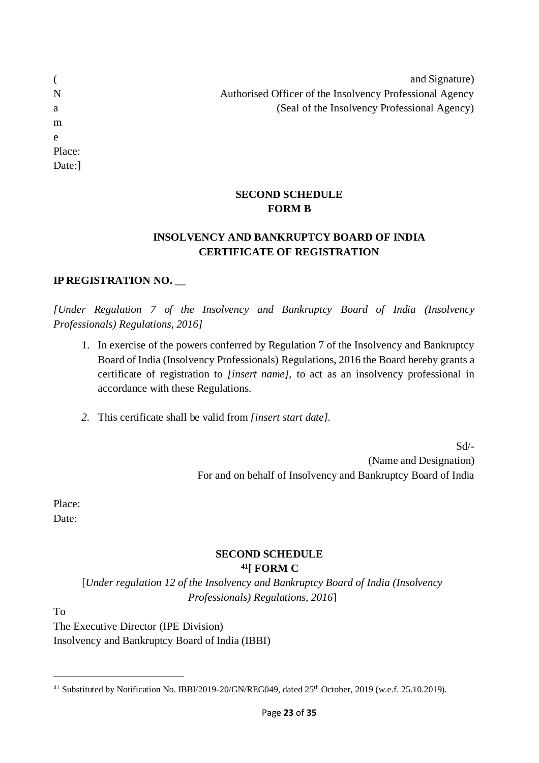| and Signature)                                           |
|----------------------------------------------------------|
| Authorised Officer of the Insolvency Professional Agency |
| (Seal of the Insolvency Professional Agency)             |
|                                                          |
|                                                          |
|                                                          |

#### **SECOND SCHEDULE FORM B**

## **INSOLVENCY AND BANKRUPTCY BOARD OF INDIA CERTIFICATE OF REGISTRATION**

## **IP REGISTRATION NO. \_\_**

*[Under Regulation 7 of the Insolvency and Bankruptcy Board of India (Insolvency Professionals) Regulations, 2016]*

- 1. In exercise of the powers conferred by Regulation 7 of the Insolvency and Bankruptcy Board of India (Insolvency Professionals) Regulations, 2016 the Board hereby grants a certificate of registration to *[insert name],* to act as an insolvency professional in accordance with these Regulations.
- *2.* This certificate shall be valid from *[insert start date].*

Sd/- (Name and Designation) For and on behalf of Insolvency and Bankruptcy Board of India

Place: Date:

( N a m e

Place: Date:]

#### **SECOND SCHEDULE <sup>41</sup>[ FORM C**

[*Under regulation 12 of the Insolvency and Bankruptcy Board of India (Insolvency Professionals) Regulations, 2016*]

To

The Executive Director (IPE Division) Insolvency and Bankruptcy Board of India (IBBI)

<sup>&</sup>lt;sup>41</sup> Substituted by Notification No. IBBI/2019-20/GN/REG049, dated 25<sup>th</sup> October, 2019 (w.e.f. 25.10.2019).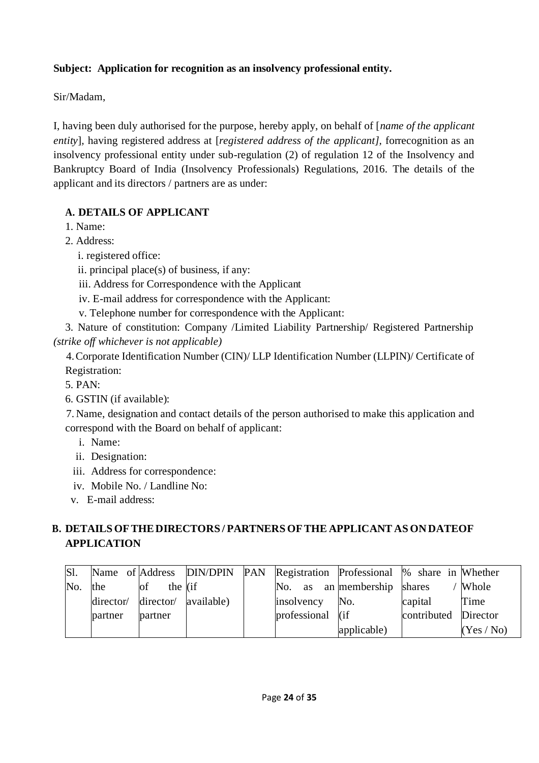## **Subject: Application for recognition as an insolvency professional entity.**

Sir/Madam,

I, having been duly authorised for the purpose, hereby apply, on behalf of [*name of the applicant entity*]*,* having registered address at [*registered address of the applicant],* forrecognition as an insolvency professional entity under sub-regulation (2) of regulation 12 of the Insolvency and Bankruptcy Board of India (Insolvency Professionals) Regulations, 2016. The details of the applicant and its directors / partners are as under:

## **A. DETAILS OF APPLICANT**

1. Name:

- 2. Address:
	- i. registered office:

ii. principal place(s) of business, if any:

iii. Address for Correspondence with the Applicant

iv. E-mail address for correspondence with the Applicant:

v. Telephone number for correspondence with the Applicant:

3. Nature of constitution: Company /Limited Liability Partnership/ Registered Partnership *(strike off whichever is not applicable)*

4.Corporate Identification Number (CIN)/ LLP Identification Number (LLPIN)/ Certificate of Registration:

5. PAN:

6. GSTIN (if available):

7. Name, designation and contact details of the person authorised to make this application and correspond with the Board on behalf of applicant:

- i. Name:
- ii. Designation:
- iii. Address for correspondence:
- iv. Mobile No. / Landline No:

v. E-mail address:

# **B. DETAILS OFTHEDIRECTORS / PARTNERS OFTHE APPLICANT ASON DATEOF APPLICATION**

| Sl. |           |           |            |                                   | Name of Address DIN/DPIN PAN Registration Professional % share in Whether |             |            |
|-----|-----------|-----------|------------|-----------------------------------|---------------------------------------------------------------------------|-------------|------------|
| No. | the       | the lif   |            | No.<br><b>as</b>                  | an membership                                                             | shares      | Whole      |
|     | director/ | director/ | available) | insolvency                        | No.                                                                       | capital     | Time       |
|     | partner   | partner   |            | professional $\left  \right $ (if |                                                                           | contributed | Director   |
|     |           |           |            |                                   | applicable)                                                               |             | (Yes / No) |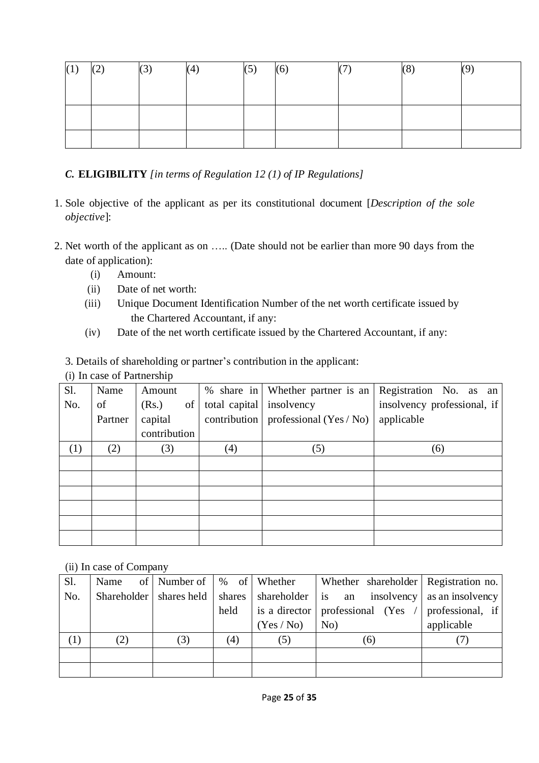| (1) | $\sqrt{2}$<br>$N \rightarrow$ | $\sim$<br><b>N-7</b> | (5) | (6)<br>$\mathbb{R}^n$ | $\sqrt{2}$ | IΟ. | $\mathbf{Q}^{\prime}$ |
|-----|-------------------------------|----------------------|-----|-----------------------|------------|-----|-----------------------|
|     |                               |                      |     |                       |            |     |                       |
|     |                               |                      |     |                       |            |     |                       |
|     |                               |                      |     |                       |            |     |                       |
|     |                               |                      |     |                       |            |     |                       |
|     |                               |                      |     |                       |            |     |                       |
|     |                               |                      |     |                       |            |     |                       |

*C.* **ELIGIBILITY** *[in terms of Regulation 12 (1) of IP Regulations]*

- 1. Sole objective of the applicant as per its constitutional document [*Description of the sole objective*]:
- 2. Net worth of the applicant as on ….. (Date should not be earlier than more 90 days from the date of application):
	- (i) Amount:
	- (ii) Date of net worth:
	- (iii) Unique Document Identification Number of the net worth certificate issued by the Chartered Accountant, if any:
	- (iv) Date of the net worth certificate issued by the Chartered Accountant, if any:
	- 3. Details of shareholding or partner's contribution in the applicant:
	- (i) In case of Partnership

| Sl. | Name    | Amount       |               | % share in Whether partner is an | Registration No. as an      |
|-----|---------|--------------|---------------|----------------------------------|-----------------------------|
| No. | of      | of<br>(Rs.)  | total capital | insolvency                       | insolvency professional, if |
|     | Partner | capital      | contribution  | professional $(Yes / No)$        | applicable                  |
|     |         | contribution |               |                                  |                             |
| (1) | (2)     | (3)          | (4)           | (5)                              | (6)                         |
|     |         |              |               |                                  |                             |
|     |         |              |               |                                  |                             |
|     |         |              |               |                                  |                             |
|     |         |              |               |                                  |                             |
|     |         |              |               |                                  |                             |
|     |         |              |               |                                  |                             |

(ii) In case of Company

| S1. | Name | of   Number of $\mid$ % of   Whether |        |          | Whether shareholder Registration no.          |                  |
|-----|------|--------------------------------------|--------|----------|-----------------------------------------------|------------------|
| No. |      | Shareholder   shares held            | shares |          | shareholder is an insolvency as an insolvency |                  |
|     |      |                                      | held   |          | is a director   professional (Yes / $\vert$   | professional, if |
|     |      |                                      |        | (Yes/No) | No)                                           | applicable       |
| (1) | (2)  | (3)                                  | (4)    | (5)      | (6)                                           |                  |
|     |      |                                      |        |          |                                               |                  |
|     |      |                                      |        |          |                                               |                  |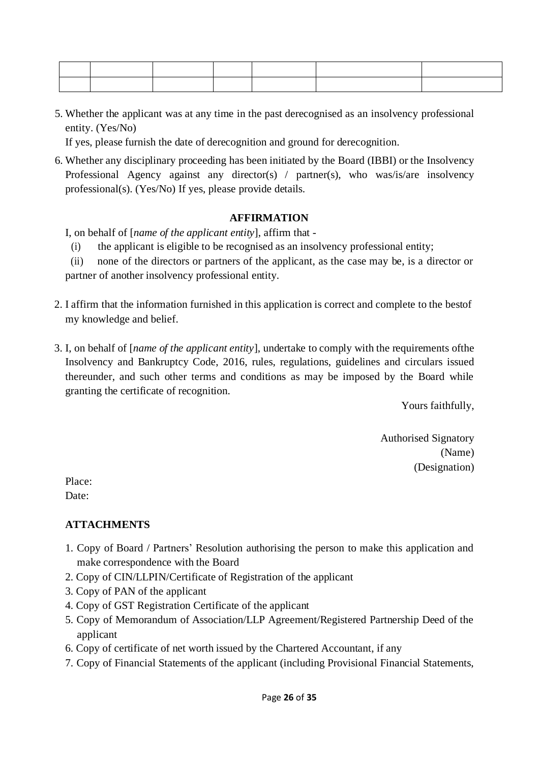5. Whether the applicant was at any time in the past derecognised as an insolvency professional entity. (Yes/No)

If yes, please furnish the date of derecognition and ground for derecognition.

6. Whether any disciplinary proceeding has been initiated by the Board (IBBI) or the Insolvency Professional Agency against any director(s) / partner(s), who was/is/are insolvency professional(s). (Yes/No) If yes, please provide details.

#### **AFFIRMATION**

I, on behalf of [*name of the applicant entity*], affirm that -

(i) the applicant is eligible to be recognised as an insolvency professional entity;

(ii) none of the directors or partners of the applicant, as the case may be, is a director or partner of another insolvency professional entity.

- 2. I affirm that the information furnished in this application is correct and complete to the bestof my knowledge and belief.
- 3. I, on behalf of [*name of the applicant entity*], undertake to comply with the requirements ofthe Insolvency and Bankruptcy Code, 2016, rules, regulations, guidelines and circulars issued thereunder, and such other terms and conditions as may be imposed by the Board while granting the certificate of recognition.

Yours faithfully,

Authorised Signatory (Name) (Designation)

Place: Date:

### **ATTACHMENTS**

- 1. Copy of Board / Partners' Resolution authorising the person to make this application and make correspondence with the Board
- 2. Copy of CIN/LLPIN/Certificate of Registration of the applicant
- 3. Copy of PAN of the applicant
- 4. Copy of GST Registration Certificate of the applicant
- 5. Copy of Memorandum of Association/LLP Agreement/Registered Partnership Deed of the applicant
- 6. Copy of certificate of net worth issued by the Chartered Accountant, if any
- 7. Copy of Financial Statements of the applicant (including Provisional Financial Statements,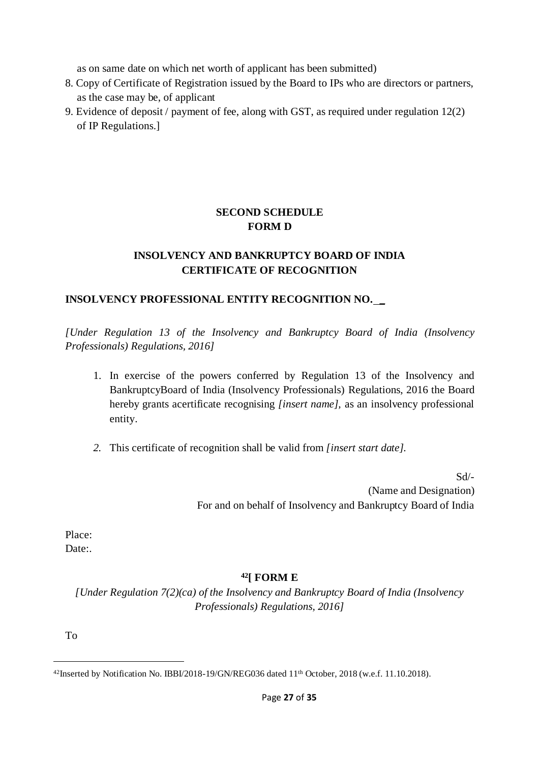as on same date on which net worth of applicant has been submitted)

- 8. Copy of Certificate of Registration issued by the Board to IPs who are directors or partners, as the case may be, of applicant
- 9. Evidence of deposit / payment of fee, along with GST, as required under regulation 12(2) of IP Regulations.]

## **SECOND SCHEDULE FORM D**

## **INSOLVENCY AND BANKRUPTCY BOARD OF INDIA CERTIFICATE OF RECOGNITION**

## **INSOLVENCY PROFESSIONAL ENTITY RECOGNITION NO. \_**

*[Under Regulation 13 of the Insolvency and Bankruptcy Board of India (Insolvency Professionals) Regulations, 2016]*

- 1. In exercise of the powers conferred by Regulation 13 of the Insolvency and BankruptcyBoard of India (Insolvency Professionals) Regulations, 2016 the Board hereby grants acertificate recognising *[insert name],* as an insolvency professional entity.
- *2.* This certificate of recognition shall be valid from *[insert start date].*

Sd/- (Name and Designation) For and on behalf of Insolvency and Bankruptcy Board of India

Place:

Date:

### **<sup>42</sup>[ FORM E**

*[Under Regulation 7(2)(ca) of the Insolvency and Bankruptcy Board of India (Insolvency Professionals) Regulations, 2016]*

To

<sup>42</sup>Inserted by Notification No. IBBI/2018-19/GN/REG036 dated 11th October, 2018 (w.e.f. 11.10.2018).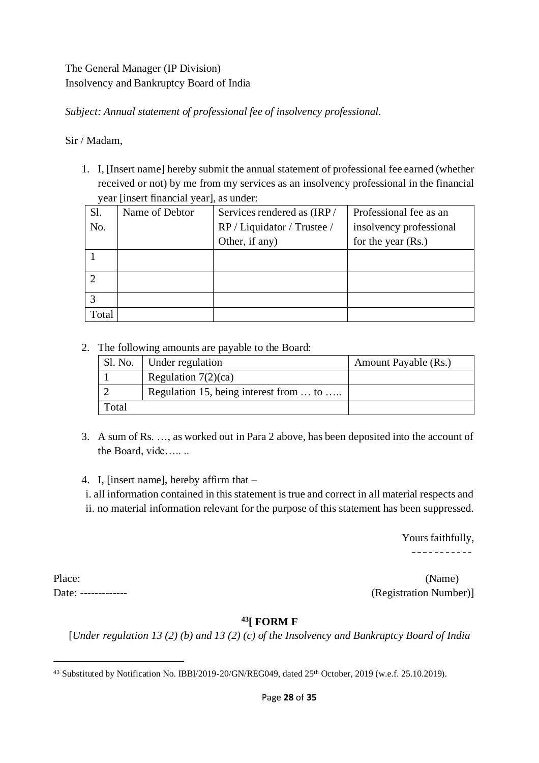## The General Manager (IP Division) Insolvency and Bankruptcy Board of India

*Subject: Annual statement of professional fee of insolvency professional.*

### Sir / Madam,

1. I, [Insert name] hereby submit the annual statement of professional fee earned (whether received or not) by me from my services as an insolvency professional in the financial year [insert financial year], as under:

| Sl.   | Name of Debtor | Services rendered as (IRP/  | Professional fee as an  |
|-------|----------------|-----------------------------|-------------------------|
| No.   |                | RP / Liquidator / Trustee / | insolvency professional |
|       |                | Other, if any)              | for the year $(Rs.)$    |
|       |                |                             |                         |
|       |                |                             |                         |
|       |                |                             |                         |
|       |                |                             |                         |
|       |                |                             |                         |
| Total |                |                             |                         |

2. The following amounts are payable to the Board:

|       | Sl. No.   Under regulation             | Amount Payable (Rs.) |
|-------|----------------------------------------|----------------------|
|       | Regulation $7(2)(ca)$                  |                      |
|       | Regulation 15, being interest from  to |                      |
| Total |                                        |                      |

3. A sum of Rs. …, as worked out in Para 2 above, has been deposited into the account of the Board, vide…....

4. I, [insert name], hereby affirm that –

i. all information contained in this statement is true and correct in all material respects and ii. no material information relevant for the purpose of this statement has been suppressed.

> Yours faithfully, -----------

Place: (Name) Date: ------------- (Registration Number)]

### **<sup>43</sup>[ FORM F**

[*Under regulation 13 (2) (b) and 13 (2) (c) of the Insolvency and Bankruptcy Board of India*

<sup>&</sup>lt;sup>43</sup> Substituted by Notification No. IBBI/2019-20/GN/REG049, dated 25<sup>th</sup> October, 2019 (w.e.f. 25.10.2019).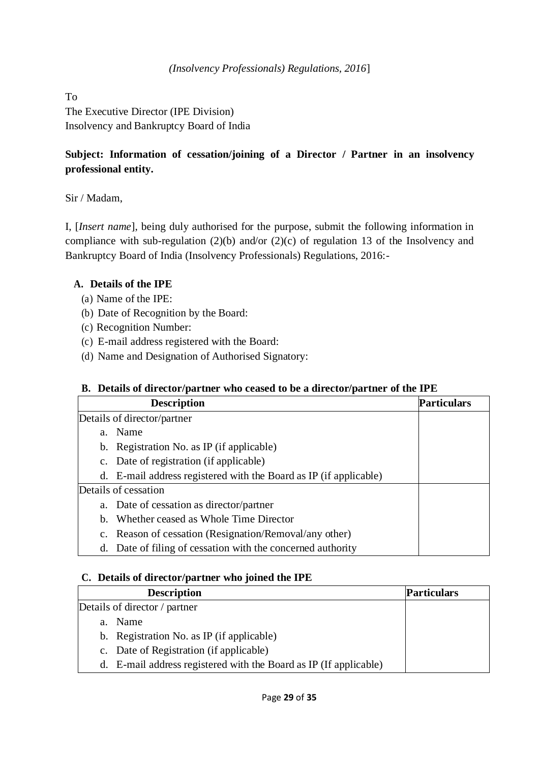To

The Executive Director (IPE Division) Insolvency and Bankruptcy Board of India

## **Subject: Information of cessation/joining of a Director / Partner in an insolvency professional entity.**

Sir / Madam,

I, [*Insert name*], being duly authorised for the purpose, submit the following information in compliance with sub-regulation (2)(b) and/or (2)(c) of regulation 13 of the Insolvency and Bankruptcy Board of India (Insolvency Professionals) Regulations, 2016:-

### **A. Details of the IPE**

- (a) Name of the IPE:
- (b) Date of Recognition by the Board:
- (c) Recognition Number:
- (c) E-mail address registered with the Board:
- (d) Name and Designation of Authorised Signatory:

#### **B. Details of director/partner who ceased to be a director/partner of the IPE**

|    | <b>Description</b><br><b>Particulars</b>                          |  |  |  |  |  |
|----|-------------------------------------------------------------------|--|--|--|--|--|
|    | Details of director/partner                                       |  |  |  |  |  |
| a. | Name                                                              |  |  |  |  |  |
|    | b. Registration No. as IP (if applicable)                         |  |  |  |  |  |
|    | c. Date of registration (if applicable)                           |  |  |  |  |  |
|    | d. E-mail address registered with the Board as IP (if applicable) |  |  |  |  |  |
|    | Details of cessation                                              |  |  |  |  |  |
| a. | Date of cessation as director/partner                             |  |  |  |  |  |
| b. | Whether ceased as Whole Time Director                             |  |  |  |  |  |
|    | c. Reason of cessation (Resignation/Removal/any other)            |  |  |  |  |  |
|    | d. Date of filing of cessation with the concerned authority       |  |  |  |  |  |

#### **C. Details of director/partner who joined the IPE**

| <b>Description</b>                                                | <b>Particulars</b> |
|-------------------------------------------------------------------|--------------------|
| Details of director / partner                                     |                    |
| Name<br>$a_{-}$                                                   |                    |
| b. Registration No. as IP (if applicable)                         |                    |
| c. Date of Registration (if applicable)                           |                    |
| d. E-mail address registered with the Board as IP (If applicable) |                    |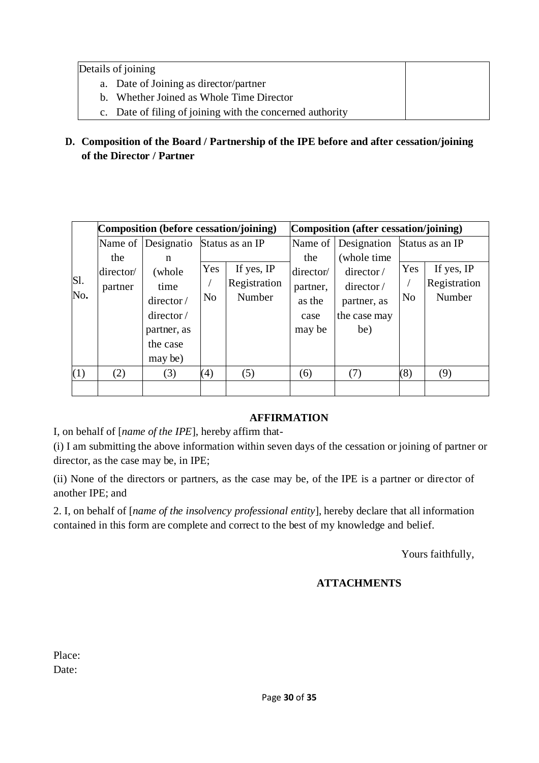Details of joining

- a. Date of Joining as director/partner
- b. Whether Joined as Whole Time Director
- c. Date of filing of joining with the concerned authority
- **D. Composition of the Board / Partnership of the IPE before and after cessation/joining of the Director / Partner**

|     | Composition (before cessation/joining) |             |                 |                  | Composition (after cessation/joining) |              |                 |              |
|-----|----------------------------------------|-------------|-----------------|------------------|---------------------------------------|--------------|-----------------|--------------|
|     | Name of                                | Designatio  | Status as an IP |                  | Name of                               | Designation  | Status as an IP |              |
|     | the                                    | n           |                 |                  | the                                   | (whole time) |                 |              |
|     | director/                              | (whole      | Yes             | If yes, IP       | director/                             | director/    | Yes             | If yes, IP   |
| Sl. | partner                                | time        |                 | Registration     | partner,                              | director/    |                 | Registration |
| No. |                                        | director/   | N <sub>0</sub>  | Number<br>as the |                                       | partner, as  | N <sub>o</sub>  | Number       |
|     |                                        | director/   |                 |                  | case                                  | the case may |                 |              |
|     |                                        | partner, as |                 |                  | may be                                | be)          |                 |              |
|     |                                        | the case    |                 |                  |                                       |              |                 |              |
|     |                                        | may be)     |                 |                  |                                       |              |                 |              |
| (1) | (2)                                    | (3)         | (4)             | (5)              | (6)                                   | (7)          | (8)             | (9)          |
|     |                                        |             |                 |                  |                                       |              |                 |              |

#### **AFFIRMATION**

I, on behalf of [*name of the IPE*], hereby affirm that-

(i) I am submitting the above information within seven days of the cessation or joining of partner or director, as the case may be, in IPE;

(ii) None of the directors or partners, as the case may be, of the IPE is a partner or director of another IPE; and

2. I, on behalf of [*name of the insolvency professional entity*], hereby declare that all information contained in this form are complete and correct to the best of my knowledge and belief.

Yours faithfully,

### **ATTACHMENTS**

| Place: |
|--------|
| Date:  |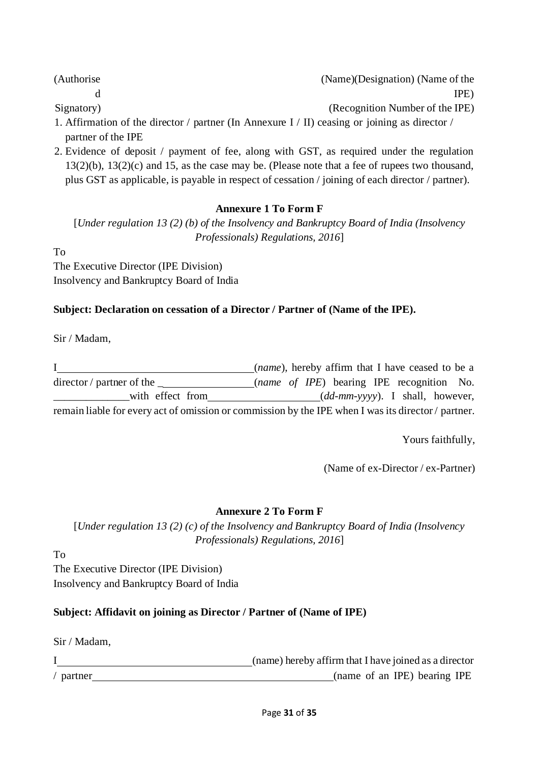(Authorise

Signatory)

d

(Name)(Designation) (Name of the IPE)

(Recognition Number of the IPE)

- 1. Affirmation of the director / partner (In Annexure I / II) ceasing or joining as director / partner of the IPE
- 2. Evidence of deposit / payment of fee, along with GST, as required under the regulation 13(2)(b), 13(2)(c) and 15, as the case may be. (Please note that a fee of rupees two thousand, plus GST as applicable, is payable in respect of cessation / joining of each director / partner).

## **Annexure 1 To Form F**

[*Under regulation 13 (2) (b) of the Insolvency and Bankruptcy Board of India (Insolvency Professionals) Regulations, 2016*]

To

The Executive Director (IPE Division) Insolvency and Bankruptcy Board of India

## **Subject: Declaration on cessation of a Director / Partner of (Name of the IPE).**

Sir / Madam,

I (*name*), hereby affirm that I have ceased to be a director / partner of the \_ (*name of IPE*) bearing IPE recognition No. \_\_\_\_\_\_\_\_\_\_\_\_\_\_with effect from (*dd-mm-yyyy*). I shall, however, remain liable for every act of omission or commission by the IPE when I was its director / partner.

Yours faithfully,

(Name of ex-Director / ex-Partner)

## **Annexure 2 To Form F**

[*Under regulation 13 (2) (c) of the Insolvency and Bankruptcy Board of India (Insolvency Professionals) Regulations, 2016*]

To

The Executive Director (IPE Division) Insolvency and Bankruptcy Board of India

## **Subject: Affidavit on joining as Director / Partner of (Name of IPE)**

Sir / Madam,

|             | (name) hereby affirm that I have joined as a director |
|-------------|-------------------------------------------------------|
| / $partner$ | (name of an IPE) bearing IPE                          |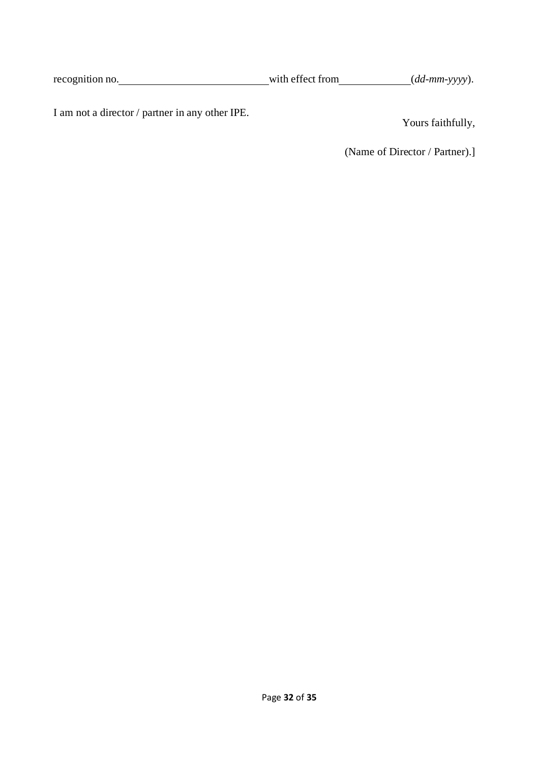| recognition no. |  | with effect from |  | $(dd\text{-}mm\text{-}vyy).$ |  |
|-----------------|--|------------------|--|------------------------------|--|
|-----------------|--|------------------|--|------------------------------|--|

I am not a director / partner in any other IPE.

Yours faithfully,

(Name of Director / Partner).]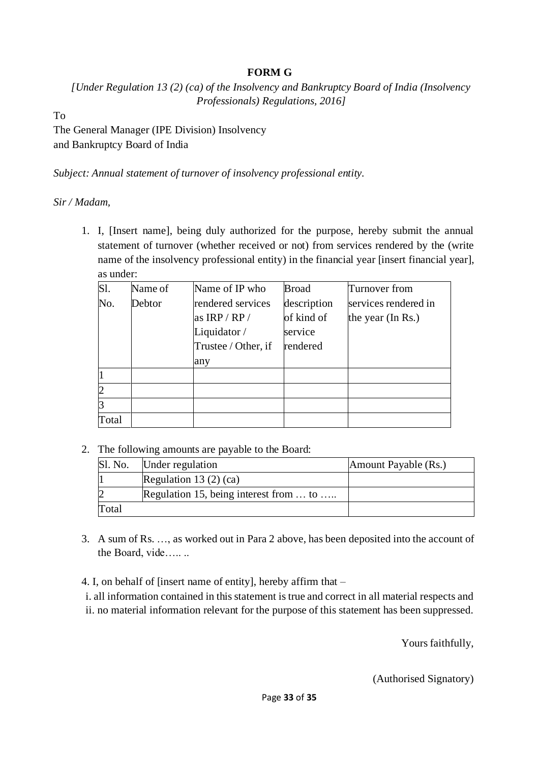### **FORM G**

*[Under Regulation 13 (2) (ca) of the Insolvency and Bankruptcy Board of India (Insolvency Professionals) Regulations, 2016]*

To

The General Manager (IPE Division) Insolvency and Bankruptcy Board of India

*Subject: Annual statement of turnover of insolvency professional entity.*

*Sir / Madam,*

1. I, [Insert name], being duly authorized for the purpose, hereby submit the annual statement of turnover (whether received or not) from services rendered by the (write name of the insolvency professional entity) in the financial year [insert financial year], as under:

| $\overline{\text{S1}}$ . | Name of | Name of IP who      | <b>Broad</b> | Turnover from        |
|--------------------------|---------|---------------------|--------------|----------------------|
| No.                      | Debtor  | rendered services   | description  | services rendered in |
|                          |         | as $IRP/RP/$        | of kind of   | the year (In Rs.)    |
|                          |         | Liquidator /        | service      |                      |
|                          |         | Trustee / Other, if | rendered     |                      |
|                          |         | any                 |              |                      |
|                          |         |                     |              |                      |
| $\overline{2}$           |         |                     |              |                      |
| 3                        |         |                     |              |                      |
| Total                    |         |                     |              |                      |

2. The following amounts are payable to the Board:

| Sl. No. | Under regulation                       | Amount Payable (Rs.) |
|---------|----------------------------------------|----------------------|
|         | Regulation 13 $(2)$ $(ca)$             |                      |
|         | Regulation 15, being interest from  to |                      |
| Total   |                                        |                      |

3. A sum of Rs. …, as worked out in Para 2 above, has been deposited into the account of the Board, vide…....

4. I, on behalf of [insert name of entity], hereby affirm that –

i. all information contained in this statement is true and correct in all material respects and ii. no material information relevant for the purpose of this statement has been suppressed.

Yours faithfully,

(Authorised Signatory)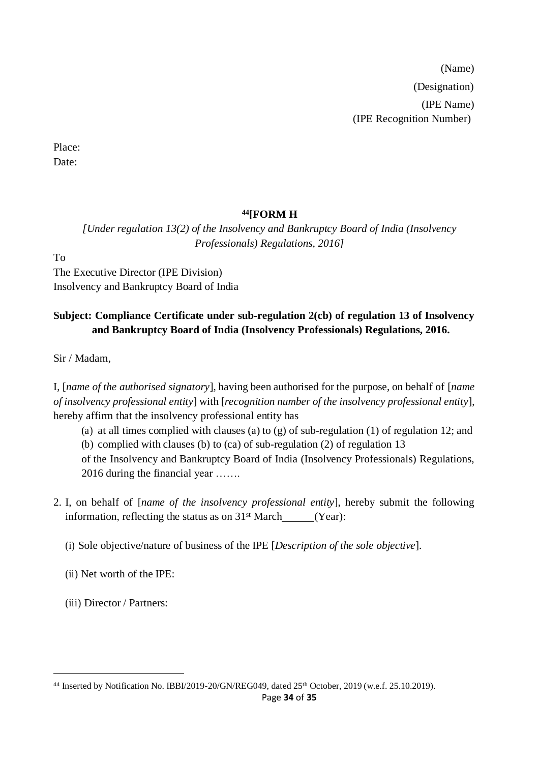(Name) (Designation) (IPE Name) (IPE Recognition Number)

Place: Date:

## **<sup>44</sup>[FORM H**

*[Under regulation 13(2) of the Insolvency and Bankruptcy Board of India (Insolvency Professionals) Regulations, 2016]*

To

The Executive Director (IPE Division) Insolvency and Bankruptcy Board of India

## **Subject: Compliance Certificate under sub-regulation 2(cb) of regulation 13 of Insolvency and Bankruptcy Board of India (Insolvency Professionals) Regulations, 2016.**

Sir / Madam,

I, [*name of the authorised signatory*], having been authorised for the purpose, on behalf of [*name of insolvency professional entity*] with [*recognition number of the insolvency professional entity*], hereby affirm that the insolvency professional entity has

(a) at all times complied with clauses (a) to (g) of sub-regulation (1) of regulation 12; and

(b) complied with clauses (b) to (ca) of sub-regulation (2) of regulation 13

of the Insolvency and Bankruptcy Board of India (Insolvency Professionals) Regulations, 2016 during the financial year …….

2. I, on behalf of [*name of the insolvency professional entity*], hereby submit the following information, reflecting the status as on  $31<sup>st</sup>$  March (Year):

(i) Sole objective/nature of business of the IPE [*Description of the sole objective*].

(ii) Net worth of the IPE:

(iii) Director / Partners:

<sup>44</sup> Inserted by Notification No. IBBI/2019-20/GN/REG049, dated 25th October, 2019 (w.e.f. 25.10.2019).